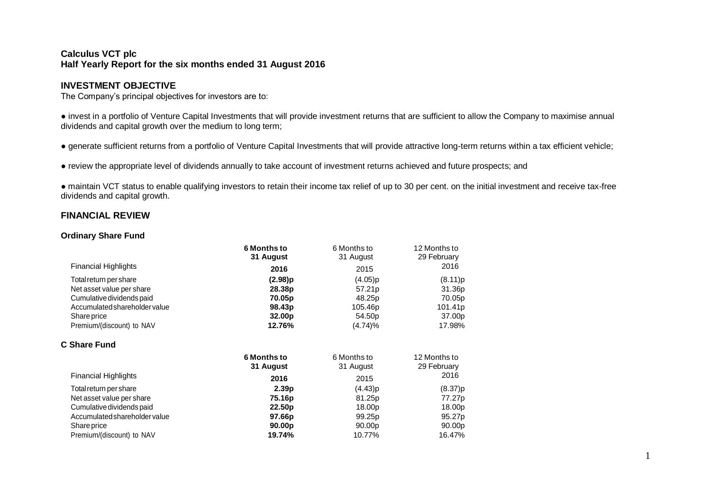## **Calculus VCT plc Half Yearly Report for the six months ended 31 August 2016**

## **INVESTMENT OBJECTIVE**

The Company's principal objectives for investors are to:

● invest in a portfolio of Venture Capital Investments that will provide investment returns that are sufficient to allow the Company to maximise annual dividends and capital growth over the medium to long term;

● generate sufficient returns from a portfolio of Venture Capital Investments that will provide attractive long-term returns within a tax efficient vehicle;

● review the appropriate level of dividends annually to take account of investment returns achieved and future prospects; and

● maintain VCT status to enable qualifying investors to retain their income tax relief of up to 30 per cent. on the initial investment and receive tax-free dividends and capital growth.

## **FINANCIAL REVIEW**

## **Ordinary Share Fund**

|                               | <b>6 Months to</b> | 6 Months to        | 12 Months to |
|-------------------------------|--------------------|--------------------|--------------|
|                               | 31 August          | 31 August          | 29 February  |
| <b>Financial Highlights</b>   | 2016               | 2015               | 2016         |
| Total return per share        | (2.98)p            | (4.05)p            | (8.11)p      |
| Net asset value per share     | 28.38p             | 57.21p             | 31.36p       |
| Cumulative dividends paid     | 70.05p             | 48.25p             | 70.05p       |
| Accumulated shareholder value | 98.43p             | 105.46p            | 101.41p      |
| Share price                   | 32.00 <sub>p</sub> | 54.50p             | 37.00p       |
| Premium/(discount) to NAV     | 12.76%             | (4.74)%            | 17.98%       |
| C Share Fund                  |                    |                    |              |
|                               | <b>6 Months to</b> | 6 Months to        | 12 Months to |
|                               | 31 August          | 31 August          | 29 February  |
| <b>Financial Highlights</b>   | 2016               | 2015               | 2016         |
| Total return per share        | 2.39 <sub>p</sub>  | (4.43)p            | (8.37)p      |
| Net asset value per share     | 75.16p             | 81.25p             | 77.27p       |
| Cumulative dividends paid     | 22.50 <sub>p</sub> | 18.00p             | 18.00p       |
| Accumulated shareholder value | 97.66p             | 99.25 <sub>p</sub> | 95.27p       |
| Share price                   | 90.00p             | 90.00p             | 90.00p       |
| Premium/(discount) to NAV     | 19.74%             | 10.77%             | 16.47%       |
|                               |                    |                    |              |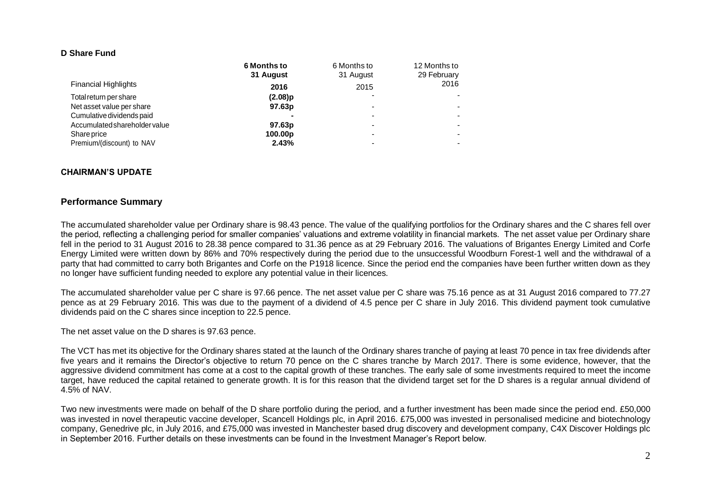#### **D Share Fund**

|                               | <b>6 Months to</b>  | 6 Months to | 12 Months to |
|-------------------------------|---------------------|-------------|--------------|
|                               | 31 August           | 31 August   | 29 February  |
| <b>Financial Highlights</b>   | 2016                | 2015        | 2016         |
| Total return per share        | $(2.08)$ p          |             |              |
| Net asset value per share     | 97.63p              |             |              |
| Cumulative dividends paid     |                     |             |              |
| Accumulated shareholder value | 97.63p              | -           |              |
| Share price                   | 100.00 <sub>p</sub> | -           |              |
| Premium/(discount) to NAV     | 2.43%               |             |              |

#### **CHAIRMAN'S UPDATE**

#### **Performance Summary**

The accumulated shareholder value per Ordinary share is 98.43 pence. The value of the qualifying portfolios for the Ordinary shares and the C shares fell over the period, reflecting a challenging period for smaller companies' valuations and extreme volatility in financial markets. The net asset value per Ordinary share fell in the period to 31 August 2016 to 28.38 pence compared to 31.36 pence as at 29 February 2016. The valuations of Brigantes Energy Limited and Corfe Energy Limited were written down by 86% and 70% respectively during the period due to the unsuccessful Woodburn Forest-1 well and the withdrawal of a party that had committed to carry both Brigantes and Corfe on the P1918 licence. Since the period end the companies have been further written down as they no longer have sufficient funding needed to explore any potential value in their licences.

The accumulated shareholder value per C share is 97.66 pence. The net asset value per C share was 75.16 pence as at 31 August 2016 compared to 77.27 pence as at 29 February 2016. This was due to the payment of a dividend of 4.5 pence per C share in July 2016. This dividend payment took cumulative dividends paid on the C shares since inception to 22.5 pence.

The net asset value on the D shares is 97.63 pence.

The VCT has met its objective for the Ordinary shares stated at the launch of the Ordinary shares tranche of paying at least 70 pence in tax free dividends after five years and it remains the Director's objective to return 70 pence on the C shares tranche by March 2017. There is some evidence, however, that the aggressive dividend commitment has come at a cost to the capital growth of these tranches. The early sale of some investments required to meet the income target, have reduced the capital retained to generate growth. It is for this reason that the dividend target set for the D shares is a regular annual dividend of 4.5% of NAV.

Two new investments were made on behalf of the D share portfolio during the period, and a further investment has been made since the period end. £50,000 was invested in novel therapeutic vaccine developer, Scancell Holdings plc, in April 2016. £75,000 was invested in personalised medicine and biotechnology company, Genedrive plc, in July 2016, and £75,000 was invested in Manchester based drug discovery and development company, C4X Discover Holdings plc in September 2016. Further details on these investments can be found in the Investment Manager's Report below.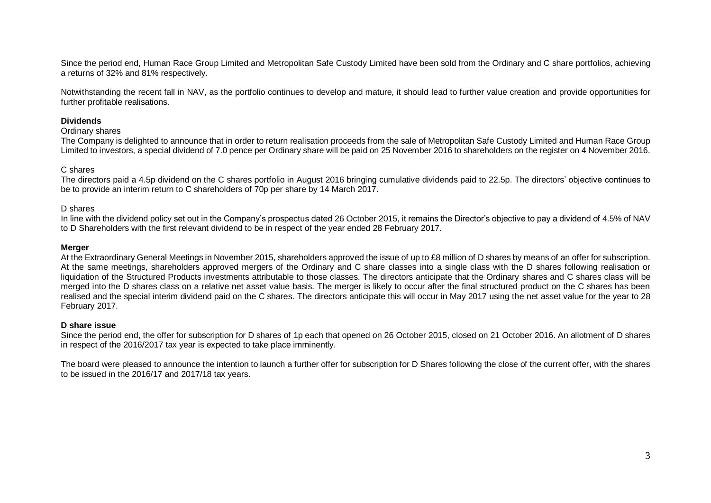Since the period end, Human Race Group Limited and Metropolitan Safe Custody Limited have been sold from the Ordinary and C share portfolios, achieving a returns of 32% and 81% respectively.

Notwithstanding the recent fall in NAV, as the portfolio continues to develop and mature, it should lead to further value creation and provide opportunities for further profitable realisations.

## **Dividends**

#### Ordinary shares

The Company is delighted to announce that in order to return realisation proceeds from the sale of Metropolitan Safe Custody Limited and Human Race Group Limited to investors, a special dividend of 7.0 pence per Ordinary share will be paid on 25 November 2016 to shareholders on the register on 4 November 2016.

## C shares

The directors paid a 4.5p dividend on the C shares portfolio in August 2016 bringing cumulative dividends paid to 22.5p. The directors' objective continues to be to provide an interim return to C shareholders of 70p per share by 14 March 2017.

#### D shares

In line with the dividend policy set out in the Company's prospectus dated 26 October 2015, it remains the Director's objective to pay a dividend of 4.5% of NAV to D Shareholders with the first relevant dividend to be in respect of the year ended 28 February 2017.

#### **Merger**

At the Extraordinary General Meetings in November 2015, shareholders approved the issue of up to £8 million of D shares by means of an offer for subscription. At the same meetings, shareholders approved mergers of the Ordinary and C share classes into a single class with the D shares following realisation or liquidation of the Structured Products investments attributable to those classes. The directors anticipate that the Ordinary shares and C shares class will be merged into the D shares class on a relative net asset value basis. The merger is likely to occur after the final structured product on the C shares has been realised and the special interim dividend paid on the C shares. The directors anticipate this will occur in May 2017 using the net asset value for the year to 28 February 2017.

#### **D share issue**

Since the period end, the offer for subscription for D shares of 1p each that opened on 26 October 2015, closed on 21 October 2016. An allotment of D shares in respect of the 2016/2017 tax year is expected to take place imminently.

The board were pleased to announce the intention to launch a further offer for subscription for D Shares following the close of the current offer, with the shares to be issued in the 2016/17 and 2017/18 tax years.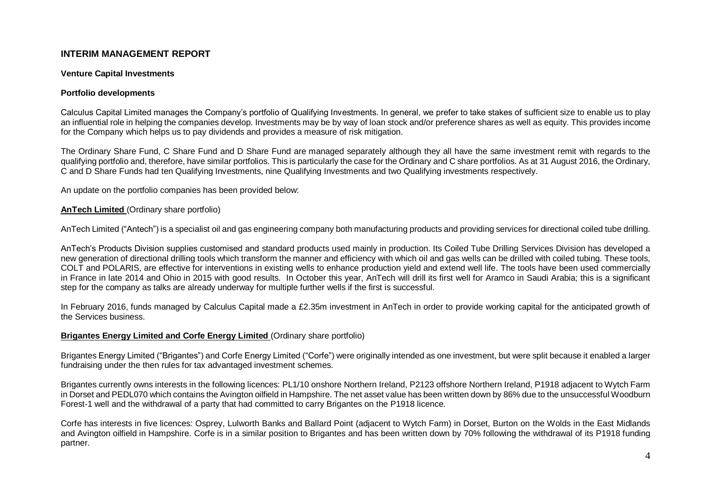## **INTERIM MANAGEMENT REPORT**

#### **Venture Capital Investments**

## **Portfolio developments**

Calculus Capital Limited manages the Company's portfolio of Qualifying Investments. In general, we prefer to take stakes of sufficient size to enable us to play an influential role in helping the companies develop. Investments may be by way of loan stock and/or preference shares as well as equity. This provides income for the Company which helps us to pay dividends and provides a measure of risk mitigation.

The Ordinary Share Fund, C Share Fund and D Share Fund are managed separately although they all have the same investment remit with regards to the qualifying portfolio and, therefore, have similar portfolios. This is particularly the case for the Ordinary and C share portfolios. As at 31 August 2016, the Ordinary, C and D Share Funds had ten Qualifying Investments, nine Qualifying Investments and two Qualifying investments respectively.

An update on the portfolio companies has been provided below:

## **AnTech Limited** (Ordinary share portfolio)

AnTech Limited ("Antech") is a specialist oil and gas engineering company both manufacturing products and providing services for directional coiled tube drilling.

AnTech's Products Division supplies customised and standard products used mainly in production. Its Coiled Tube Drilling Services Division has developed a new generation of directional drilling tools which transform the manner and efficiency with which oil and gas wells can be drilled with coiled tubing. These tools, COLT and POLARIS, are effective for interventions in existing wells to enhance production yield and extend well life. The tools have been used commercially in France in late 2014 and Ohio in 2015 with good results. In October this year, AnTech will drill its first well for Aramco in Saudi Arabia; this is a significant step for the company as talks are already underway for multiple further wells if the first is successful.

In February 2016, funds managed by Calculus Capital made a £2.35m investment in AnTech in order to provide working capital for the anticipated growth of the Services business.

#### **Brigantes Energy Limited and Corfe Energy Limited** (Ordinary share portfolio)

Brigantes Energy Limited ("Brigantes") and Corfe Energy Limited ("Corfe") were originally intended as one investment, but were split because it enabled a larger fundraising under the then rules for tax advantaged investment schemes.

Brigantes currently owns interests in the following licences: PL1/10 onshore Northern Ireland, P2123 offshore Northern Ireland, P1918 adjacent to Wytch Farm in Dorset and PEDL070 which contains the Avington oilfield in Hampshire. The net asset value has been written down by 86% due to the unsuccessful Woodburn Forest-1 well and the withdrawal of a party that had committed to carry Brigantes on the P1918 licence.

Corfe has interests in five licences: Osprey, Lulworth Banks and Ballard Point (adjacent to Wytch Farm) in Dorset, Burton on the Wolds in the East Midlands and Avington oilfield in Hampshire. Corfe is in a similar position to Brigantes and has been written down by 70% following the withdrawal of its P1918 funding partner.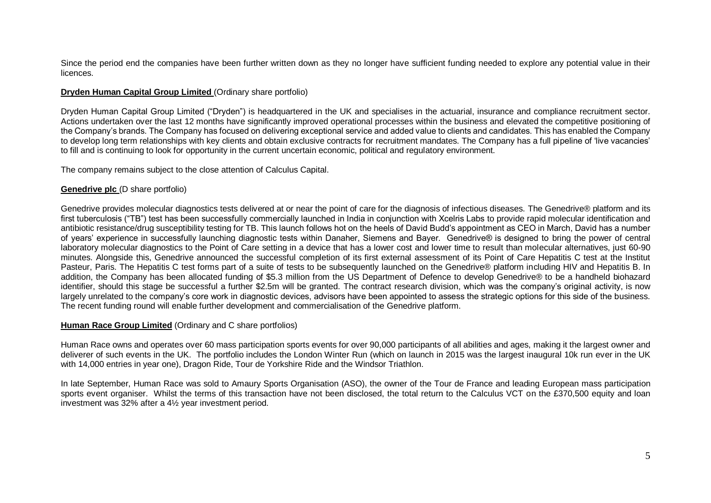Since the period end the companies have been further written down as they no longer have sufficient funding needed to explore any potential value in their licences.

## **Dryden Human Capital Group Limited** (Ordinary share portfolio)

Dryden Human Capital Group Limited ("Dryden") is headquartered in the UK and specialises in the actuarial, insurance and compliance recruitment sector. Actions undertaken over the last 12 months have significantly improved operational processes within the business and elevated the competitive positioning of the Company's brands. The Company has focused on delivering exceptional service and added value to clients and candidates. This has enabled the Company to develop long term relationships with key clients and obtain exclusive contracts for recruitment mandates. The Company has a full pipeline of 'live vacancies' to fill and is continuing to look for opportunity in the current uncertain economic, political and regulatory environment.

The company remains subject to the close attention of Calculus Capital.

## **Genedrive plc** (D share portfolio)

Genedrive provides molecular diagnostics tests delivered at or near the point of care for the diagnosis of infectious diseases. The Genedrive® platform and its first tuberculosis ("TB") test has been successfully commercially launched in India in conjunction with Xcelris Labs to provide rapid molecular identification and antibiotic resistance/drug susceptibility testing for TB. This launch follows hot on the heels of David Budd's appointment as CEO in March, David has a number of years' experience in successfully launching diagnostic tests within Danaher, Siemens and Bayer. Genedrive® is designed to bring the power of central laboratory molecular diagnostics to the Point of Care setting in a device that has a lower cost and lower time to result than molecular alternatives, just 60-90 minutes. Alongside this, Genedrive announced the successful completion of its first external assessment of its Point of Care Hepatitis C test at the Institut Pasteur, Paris. The Hepatitis C test forms part of a suite of tests to be subsequently launched on the Genedrive® platform including HIV and Hepatitis B. In addition, the Company has been allocated funding of \$5.3 million from the US Department of Defence to develop Genedrive® to be a handheld biohazard identifier, should this stage be successful a further \$2.5m will be granted. The contract research division, which was the company's original activity, is now largely unrelated to the company's core work in diagnostic devices, advisors have been appointed to assess the strategic options for this side of the business. The recent funding round will enable further development and commercialisation of the Genedrive platform.

#### **Human Race Group Limited** (Ordinary and C share portfolios)

Human Race owns and operates over 60 mass participation sports events for over 90,000 participants of all abilities and ages, making it the largest owner and deliverer of such events in the UK. The portfolio includes the London Winter Run (which on launch in 2015 was the largest inaugural 10k run ever in the UK with 14,000 entries in year one), Dragon Ride, Tour de Yorkshire Ride and the Windsor Triathlon.

In late September, Human Race was sold to Amaury Sports Organisation (ASO), the owner of the Tour de France and leading European mass participation sports event organiser. Whilst the terms of this transaction have not been disclosed, the total return to the Calculus VCT on the £370,500 equity and loan investment was 32% after a 4½ year investment period.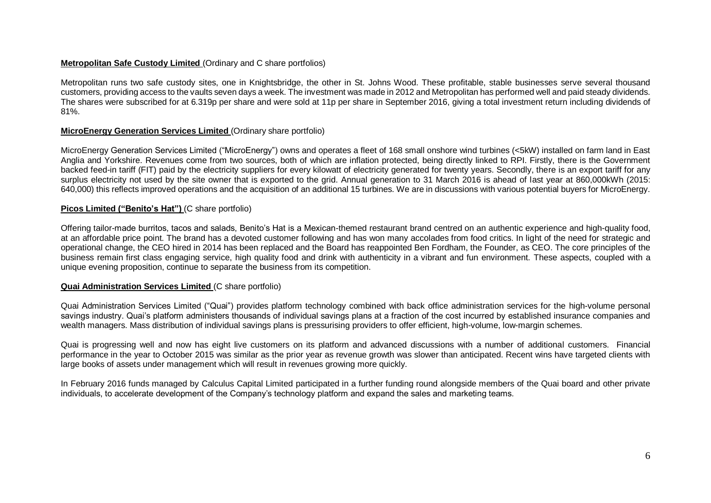## **Metropolitan Safe Custody Limited** (Ordinary and C share portfolios)

Metropolitan runs two safe custody sites, one in Knightsbridge, the other in St. Johns Wood. These profitable, stable businesses serve several thousand customers, providing access to the vaults seven days a week. The investment was made in 2012 and Metropolitan has performed well and paid steady dividends. The shares were subscribed for at 6.319p per share and were sold at 11p per share in September 2016, giving a total investment return including dividends of 81%.

## **MicroEnergy Generation Services Limited** (Ordinary share portfolio)

MicroEnergy Generation Services Limited ("MicroEnergy") owns and operates a fleet of 168 small onshore wind turbines (<5kW) installed on farm land in East Anglia and Yorkshire. Revenues come from two sources, both of which are inflation protected, being directly linked to RPI. Firstly, there is the Government backed feed-in tariff (FIT) paid by the electricity suppliers for every kilowatt of electricity generated for twenty years. Secondly, there is an export tariff for any surplus electricity not used by the site owner that is exported to the grid. Annual generation to 31 March 2016 is ahead of last year at 860,000kWh (2015: 640,000) this reflects improved operations and the acquisition of an additional 15 turbines. We are in discussions with various potential buyers for MicroEnergy.

## **Picos Limited ("Benito's Hat")** (C share portfolio)

Offering tailor-made burritos, tacos and salads, Benito's Hat is a Mexican-themed restaurant brand centred on an authentic experience and high-quality food, at an affordable price point. The brand has a devoted customer following and has won many accolades from food critics. In light of the need for strategic and operational change, the CEO hired in 2014 has been replaced and the Board has reappointed Ben Fordham, the Founder, as CEO. The core principles of the business remain first class engaging service, high quality food and drink with authenticity in a vibrant and fun environment. These aspects, coupled with a unique evening proposition, continue to separate the business from its competition.

#### **Quai Administration Services Limited** (C share portfolio)

Quai Administration Services Limited ("Quai") provides platform technology combined with back office administration services for the high-volume personal savings industry. Quai's platform administers thousands of individual savings plans at a fraction of the cost incurred by established insurance companies and wealth managers. Mass distribution of individual savings plans is pressurising providers to offer efficient, high-volume, low-margin schemes.

Quai is progressing well and now has eight live customers on its platform and advanced discussions with a number of additional customers. Financial performance in the year to October 2015 was similar as the prior year as revenue growth was slower than anticipated. Recent wins have targeted clients with large books of assets under management which will result in revenues growing more quickly.

In February 2016 funds managed by Calculus Capital Limited participated in a further funding round alongside members of the Quai board and other private individuals, to accelerate development of the Company's technology platform and expand the sales and marketing teams.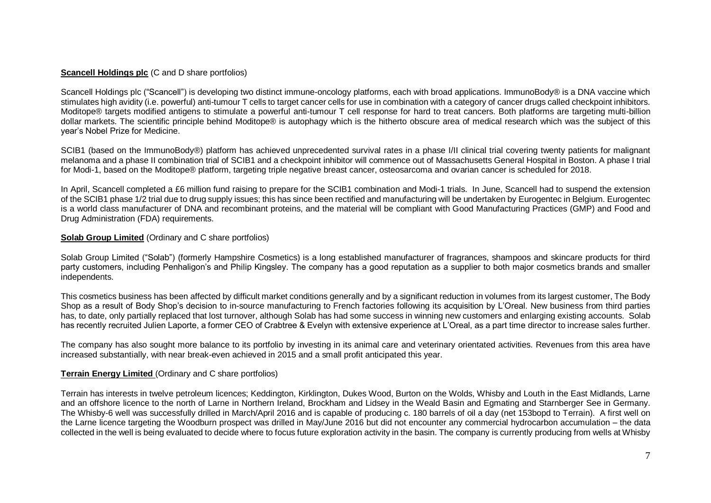## **Scancell Holdings plc** (C and D share portfolios)

Scancell Holdings plc ("Scancell") is developing two distinct immune-oncology platforms, each with broad applications. ImmunoBody® is a DNA vaccine which stimulates high avidity (i.e. powerful) anti-tumour T cells to target cancer cells for use in combination with a category of cancer drugs called checkpoint inhibitors. Moditope® targets modified antigens to stimulate a powerful anti-tumour T cell response for hard to treat cancers. Both platforms are targeting multi-billion dollar markets. The scientific principle behind Moditope® is autophagy which is the hitherto obscure area of medical research which was the subject of this year's Nobel Prize for Medicine.

SCIB1 (based on the ImmunoBody®) platform has achieved unprecedented survival rates in a phase I/II clinical trial covering twenty patients for malignant melanoma and a phase II combination trial of SCIB1 and a checkpoint inhibitor will commence out of Massachusetts General Hospital in Boston. A phase I trial for Modi-1, based on the Moditope® platform, targeting triple negative breast cancer, osteosarcoma and ovarian cancer is scheduled for 2018.

In April, Scancell completed a £6 million fund raising to prepare for the SCIB1 combination and Modi-1 trials. In June, Scancell had to suspend the extension of the SCIB1 phase 1/2 trial due to drug supply issues; this has since been rectified and manufacturing will be undertaken by Eurogentec in Belgium. Eurogentec is a world class manufacturer of DNA and recombinant proteins, and the material will be compliant with Good Manufacturing Practices (GMP) and Food and Drug Administration (FDA) requirements.

## **Solab Group Limited** (Ordinary and C share portfolios)

Solab Group Limited ("Solab") (formerly Hampshire Cosmetics) is a long established manufacturer of fragrances, shampoos and skincare products for third party customers, including Penhaligon's and Philip Kingsley. The company has a good reputation as a supplier to both major cosmetics brands and smaller independents.

This cosmetics business has been affected by difficult market conditions generally and by a significant reduction in volumes from its largest customer, The Body Shop as a result of Body Shop's decision to in-source manufacturing to French factories following its acquisition by L'Oreal. New business from third parties has, to date, only partially replaced that lost turnover, although Solab has had some success in winning new customers and enlarging existing accounts. Solab has recently recruited Julien Laporte, a former CEO of Crabtree & Evelyn with extensive experience at L'Oreal, as a part time director to increase sales further.

The company has also sought more balance to its portfolio by investing in its animal care and veterinary orientated activities. Revenues from this area have increased substantially, with near break-even achieved in 2015 and a small profit anticipated this year.

## **Terrain Energy Limited** (Ordinary and C share portfolios)

Terrain has interests in twelve petroleum licences; Keddington, Kirklington, Dukes Wood, Burton on the Wolds, Whisby and Louth in the East Midlands, Larne and an offshore licence to the north of Larne in Northern Ireland, Brockham and Lidsey in the Weald Basin and Egmating and Starnberger See in Germany. The Whisby-6 well was successfully drilled in March/April 2016 and is capable of producing c. 180 barrels of oil a day (net 153bopd to Terrain). A first well on the Larne licence targeting the Woodburn prospect was drilled in May/June 2016 but did not encounter any commercial hydrocarbon accumulation – the data collected in the well is being evaluated to decide where to focus future exploration activity in the basin. The company is currently producing from wells at Whisby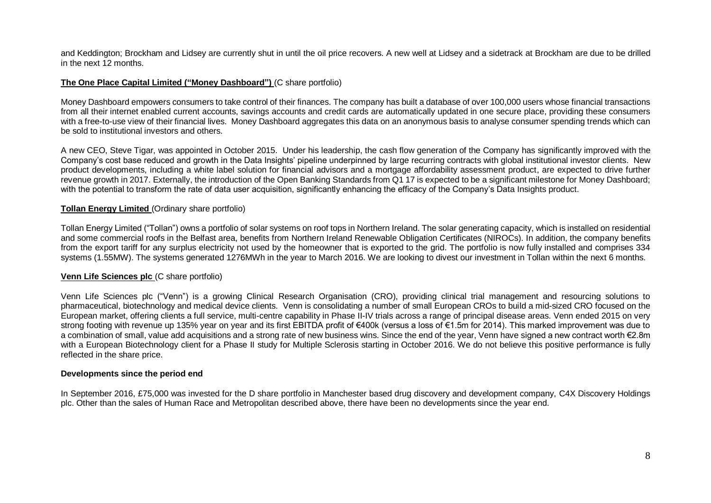and Keddington; Brockham and Lidsey are currently shut in until the oil price recovers. A new well at Lidsey and a sidetrack at Brockham are due to be drilled in the next 12 months.

## **The One Place Capital Limited ("Money Dashboard")** (C share portfolio)

Money Dashboard empowers consumers to take control of their finances. The company has built a database of over 100,000 users whose financial transactions from all their internet enabled current accounts, savings accounts and credit cards are automatically updated in one secure place, providing these consumers with a free-to-use view of their financial lives. Money Dashboard aggregates this data on an anonymous basis to analyse consumer spending trends which can be sold to institutional investors and others.

A new CEO, Steve Tigar, was appointed in October 2015. Under his leadership, the cash flow generation of the Company has significantly improved with the Company's cost base reduced and growth in the Data Insights' pipeline underpinned by large recurring contracts with global institutional investor clients. New product developments, including a white label solution for financial advisors and a mortgage affordability assessment product, are expected to drive further revenue growth in 2017. Externally, the introduction of the Open Banking Standards from Q1 17 is expected to be a significant milestone for Money Dashboard; with the potential to transform the rate of data user acquisition, significantly enhancing the efficacy of the Company's Data Insights product.

## **Tollan Energy Limited** (Ordinary share portfolio)

Tollan Energy Limited ("Tollan") owns a portfolio of solar systems on roof tops in Northern Ireland. The solar generating capacity, which is installed on residential and some commercial roofs in the Belfast area, benefits from Northern Ireland Renewable Obligation Certificates (NIROCs). In addition, the company benefits from the export tariff for any surplus electricity not used by the homeowner that is exported to the grid. The portfolio is now fully installed and comprises 334 systems (1.55MW). The systems generated 1276MWh in the year to March 2016. We are looking to divest our investment in Tollan within the next 6 months.

#### **Venn Life Sciences plc** (C share portfolio)

Venn Life Sciences plc ("Venn") is a growing Clinical Research Organisation (CRO), providing clinical trial management and resourcing solutions to pharmaceutical, biotechnology and medical device clients. Venn is consolidating a number of small European CROs to build a mid-sized CRO focused on the European market, offering clients a full service, multi-centre capability in Phase II-IV trials across a range of principal disease areas. Venn ended 2015 on very strong footing with revenue up 135% year on year and its first EBITDA profit of €400k (versus a loss of €1.5m for 2014). This marked improvement was due to a combination of small, value add acquisitions and a strong rate of new business wins. Since the end of the year, Venn have signed a new contract worth €2.8m with a European Biotechnology client for a Phase II study for Multiple Sclerosis starting in October 2016. We do not believe this positive performance is fully reflected in the share price.

#### **Developments since the period end**

In September 2016, £75,000 was invested for the D share portfolio in Manchester based drug discovery and development company, C4X Discovery Holdings plc. Other than the sales of Human Race and Metropolitan described above, there have been no developments since the year end.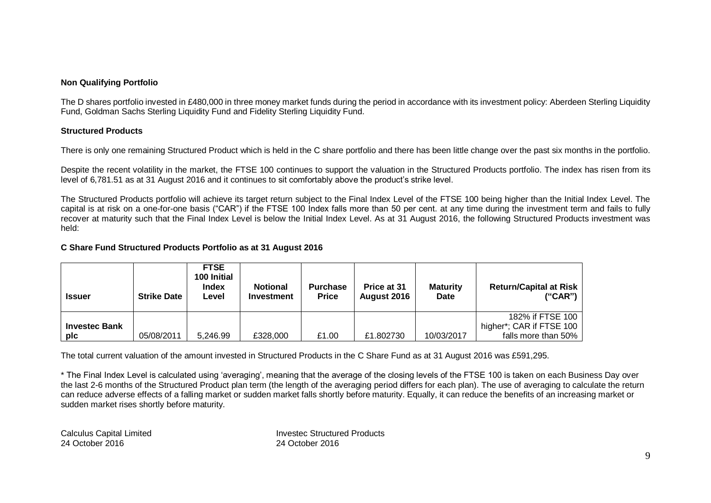## **Non Qualifying Portfolio**

The D shares portfolio invested in £480,000 in three money market funds during the period in accordance with its investment policy: Aberdeen Sterling Liquidity Fund, Goldman Sachs Sterling Liquidity Fund and Fidelity Sterling Liquidity Fund.

## **Structured Products**

There is only one remaining Structured Product which is held in the C share portfolio and there has been little change over the past six months in the portfolio.

Despite the recent volatility in the market, the FTSE 100 continues to support the valuation in the Structured Products portfolio. The index has risen from its level of 6,781.51 as at 31 August 2016 and it continues to sit comfortably above the product's strike level.

The Structured Products portfolio will achieve its target return subject to the Final Index Level of the FTSE 100 being higher than the Initial Index Level. The capital is at risk on a one-for-one basis ("CAR") if the FTSE 100 Index falls more than 50 per cent. at any time during the investment term and fails to fully recover at maturity such that the Final Index Level is below the Initial Index Level. As at 31 August 2016, the following Structured Products investment was held:

## **C Share Fund Structured Products Portfolio as at 31 August 2016**

| <b>Issuer</b>        | <b>Strike Date</b> | <b>FTSE</b><br>100 Initial<br><b>Index</b><br>Level | <b>Notional</b><br>Investment | <b>Purchase</b><br><b>Price</b> | Price at 31<br>August 2016 | <b>Maturity</b><br><b>Date</b> | <b>Return/Capital at Risk</b><br>("CAR") |
|----------------------|--------------------|-----------------------------------------------------|-------------------------------|---------------------------------|----------------------------|--------------------------------|------------------------------------------|
|                      |                    |                                                     |                               |                                 |                            |                                | 182% if FTSE 100                         |
| <b>Investec Bank</b> |                    |                                                     |                               |                                 |                            |                                | higher*; CAR if FTSE 100                 |
| plc                  | 05/08/2011         | 5,246.99                                            | £328,000                      | £1.00                           | £1,802730                  | 10/03/2017                     | falls more than 50%                      |

The total current valuation of the amount invested in Structured Products in the C Share Fund as at 31 August 2016 was £591,295.

\* The Final Index Level is calculated using 'averaging', meaning that the average of the closing levels of the FTSE 100 is taken on each Business Day over the last 2-6 months of the Structured Product plan term (the length of the averaging period differs for each plan). The use of averaging to calculate the return can reduce adverse effects of a falling market or sudden market falls shortly before maturity. Equally, it can reduce the benefits of an increasing market or sudden market rises shortly before maturity.

Calculus Capital Limited **Invested Invested Structured Products**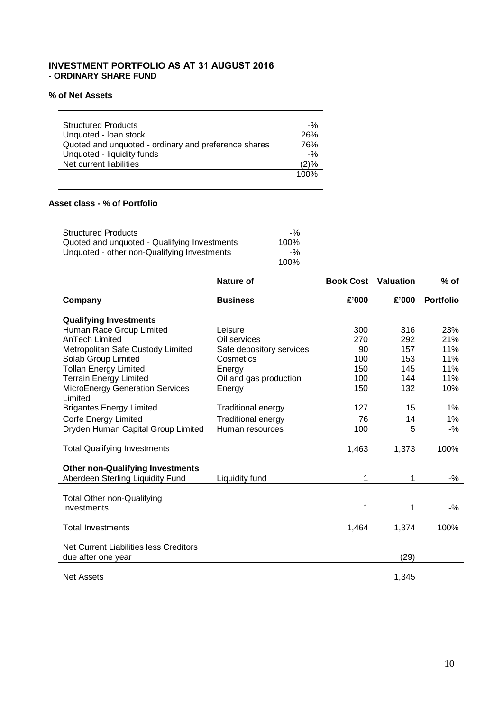## **INVESTMENT PORTFOLIO AS AT 31 AUGUST 2016 - ORDINARY SHARE FUND**

## **% of Net Assets**

| <b>Structured Products</b>                           | $-90$ |
|------------------------------------------------------|-------|
| Unquoted - Ioan stock                                | 26%   |
| Quoted and unquoted - ordinary and preference shares | 76%   |
| Unquoted - liquidity funds                           | $-90$ |
| Net current liabilities                              | (2)%  |
|                                                      | 100%  |

## **Asset class - % of Portfolio**

| <b>Structured Products</b>                   | $-90$ |
|----------------------------------------------|-------|
| Quoted and unquoted - Qualifying Investments | 100%  |
| Unquoted - other non-Qualifying Investments  | $-90$ |
|                                              | 100%  |

|                                         | <b>Nature of</b>          | <b>Book Cost</b> Valuation |       | $%$ of           |
|-----------------------------------------|---------------------------|----------------------------|-------|------------------|
| Company                                 | <b>Business</b>           | £'000                      | £'000 | <b>Portfolio</b> |
|                                         |                           |                            |       |                  |
| <b>Qualifying Investments</b>           |                           |                            |       |                  |
| Human Race Group Limited                | Leisure                   | 300                        | 316   | 23%              |
| <b>AnTech Limited</b>                   | Oil services              | 270                        | 292   | 21%              |
| Metropolitan Safe Custody Limited       | Safe depository services  | 90                         | 157   | 11%              |
| Solab Group Limited                     | Cosmetics                 | 100                        | 153   | 11%              |
| <b>Tollan Energy Limited</b>            | Energy                    | 150                        | 145   | 11%              |
| <b>Terrain Energy Limited</b>           | Oil and gas production    | 100                        | 144   | 11%              |
| MicroEnergy Generation Services         | Energy                    | 150                        | 132   | 10%              |
| Limited                                 |                           |                            |       |                  |
| <b>Brigantes Energy Limited</b>         | <b>Traditional energy</b> | 127                        | 15    | $1\%$            |
| Corfe Energy Limited                    | <b>Traditional energy</b> | 76                         | 14    | 1%               |
| Dryden Human Capital Group Limited      | Human resources           | 100                        | 5     | $-$ %            |
|                                         |                           |                            |       |                  |
| <b>Total Qualifying Investments</b>     |                           | 1,463                      | 1,373 | 100%             |
|                                         |                           |                            |       |                  |
| <b>Other non-Qualifying Investments</b> |                           |                            |       |                  |
| Aberdeen Sterling Liquidity Fund        | Liquidity fund            | 1                          | 1     | $-$ %            |
|                                         |                           |                            |       |                  |
| Total Other non-Qualifying              |                           |                            |       |                  |
| Investments                             |                           | 1                          | 1     | $-$ %            |
|                                         |                           |                            |       |                  |
| <b>Total Investments</b>                |                           | 1,464                      | 1,374 | 100%             |
| Net Current Liabilities less Creditors  |                           |                            |       |                  |
| due after one year                      |                           |                            | (29)  |                  |
|                                         |                           |                            |       |                  |
| <b>Net Assets</b>                       |                           |                            | 1,345 |                  |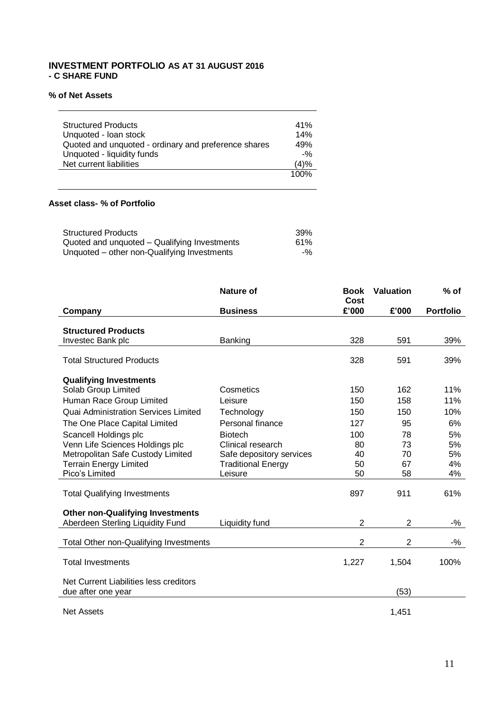## **INVESTMENT PORTFOLIO AS AT 31 AUGUST 2016 - C SHARE FUND**

## **% of Net Assets**

| <b>Structured Products</b>                           | 41%    |
|------------------------------------------------------|--------|
| Unquoted - Ioan stock                                | 14%    |
| Quoted and unquoted - ordinary and preference shares | 49%    |
| Unquoted - liquidity funds                           | $-9/2$ |
| Net current liabilities                              | (4)%   |
|                                                      | 100%   |

## **Asset class- % of Portfolio**

| <b>Structured Products</b>                   | 39%   |
|----------------------------------------------|-------|
| Quoted and unquoted - Qualifying Investments | 61%   |
| Unquoted – other non-Qualifying Investments  | $-$ % |

|                                                              | <b>Nature of</b>          | <b>Book</b><br>Cost | <b>Valuation</b> | $%$ of           |
|--------------------------------------------------------------|---------------------------|---------------------|------------------|------------------|
| Company                                                      | <b>Business</b>           | £'000               | £'000            | <b>Portfolio</b> |
| <b>Structured Products</b>                                   |                           |                     |                  |                  |
| Investec Bank plc                                            | Banking                   | 328                 | 591              | 39%              |
| <b>Total Structured Products</b>                             |                           | 328                 | 591              | 39%              |
| <b>Qualifying Investments</b>                                |                           |                     |                  |                  |
| Solab Group Limited                                          | Cosmetics                 | 150                 | 162              | 11%              |
| Human Race Group Limited                                     | Leisure                   | 150                 | 158              | 11%              |
| <b>Quai Administration Services Limited</b>                  | Technology                | 150                 | 150              | 10%              |
| The One Place Capital Limited                                | Personal finance          | 127                 | 95               | 6%               |
| Scancell Holdings plc                                        | <b>Biotech</b>            | 100                 | 78               | 5%               |
| Venn Life Sciences Holdings plc                              | Clinical research         | 80                  | 73               | 5%               |
| Metropolitan Safe Custody Limited                            | Safe depository services  | 40                  | 70               | 5%               |
| <b>Terrain Energy Limited</b>                                | <b>Traditional Energy</b> | 50                  | 67               | 4%               |
| Pico's Limited                                               | Leisure                   | 50                  | 58               | 4%               |
| <b>Total Qualifying Investments</b>                          |                           | 897                 | 911              | 61%              |
| <b>Other non-Qualifying Investments</b>                      |                           |                     |                  |                  |
| Aberdeen Sterling Liquidity Fund                             | Liquidity fund            | 2                   | $\overline{2}$   | $-$ %            |
| Total Other non-Qualifying Investments                       |                           | $\overline{2}$      | $\overline{2}$   | $-$ %            |
| <b>Total Investments</b>                                     |                           | 1,227               | 1,504            | 100%             |
| Net Current Liabilities less creditors<br>due after one year |                           |                     | (53)             |                  |
| <b>Net Assets</b>                                            |                           |                     | 1,451            |                  |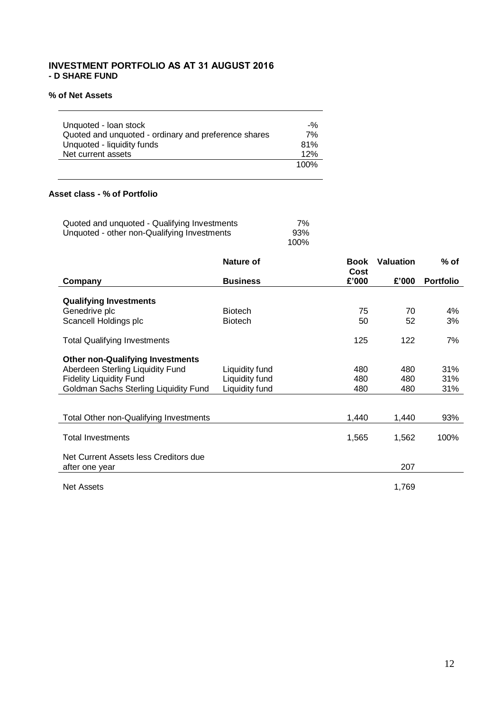## **INVESTMENT PORTFOLIO AS AT 31 AUGUST 2016 - D SHARE FUND**

## **% of Net Assets**

**Contract Contract Contract** 

| Unquoted - Ioan stock                                | $-90$ |
|------------------------------------------------------|-------|
| Quoted and unquoted - ordinary and preference shares | 7%    |
| Unquoted - liquidity funds                           | 81%   |
| Net current assets                                   | 12%   |
|                                                      | 100%  |

## **Asset class - % of Portfolio**

| Quoted and unquoted - Qualifying Investments | 7%   |
|----------------------------------------------|------|
| Unquoted - other non-Qualifying Investments  | 93%  |
|                                              | 100% |

|                                                         | Nature of       | <b>Book</b><br>Cost | <b>Valuation</b> | $%$ of           |
|---------------------------------------------------------|-----------------|---------------------|------------------|------------------|
| Company                                                 | <b>Business</b> | £'000               | £'000            | <b>Portfolio</b> |
| <b>Qualifying Investments</b>                           |                 |                     |                  |                  |
| Genedrive plc                                           | <b>Biotech</b>  | 75                  | 70               | 4%               |
| Scancell Holdings plc                                   | <b>Biotech</b>  | 50                  | 52               | 3%               |
| <b>Total Qualifying Investments</b>                     |                 | 125                 | 122              | 7%               |
| <b>Other non-Qualifying Investments</b>                 |                 |                     |                  |                  |
| Aberdeen Sterling Liquidity Fund                        | Liquidity fund  | 480                 | 480              | 31%              |
| <b>Fidelity Liquidity Fund</b>                          | Liquidity fund  | 480                 | 480              | 31%              |
| Goldman Sachs Sterling Liquidity Fund                   | Liquidity fund  | 480                 | 480              | 31%              |
|                                                         |                 |                     |                  |                  |
| Total Other non-Qualifying Investments                  |                 | 1,440               | 1,440            | 93%              |
| <b>Total Investments</b>                                |                 | 1,565               | 1,562            | 100%             |
| Net Current Assets less Creditors due<br>after one year |                 |                     | 207              |                  |
| <b>Net Assets</b>                                       |                 |                     | 1,769            |                  |

÷.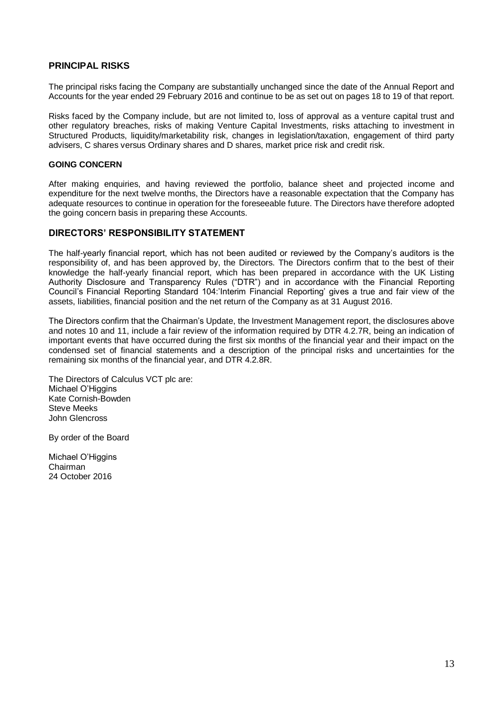## **PRINCIPAL RISKS**

The principal risks facing the Company are substantially unchanged since the date of the Annual Report and Accounts for the year ended 29 February 2016 and continue to be as set out on pages 18 to 19 of that report.

Risks faced by the Company include, but are not limited to, loss of approval as a venture capital trust and other regulatory breaches, risks of making Venture Capital Investments, risks attaching to investment in Structured Products, liquidity/marketability risk, changes in legislation/taxation, engagement of third party advisers, C shares versus Ordinary shares and D shares, market price risk and credit risk.

## **GOING CONCERN**

After making enquiries, and having reviewed the portfolio, balance sheet and projected income and expenditure for the next twelve months, the Directors have a reasonable expectation that the Company has adequate resources to continue in operation for the foreseeable future. The Directors have therefore adopted the going concern basis in preparing these Accounts.

## **DIRECTORS' RESPONSIBILITY STATEMENT**

The half-yearly financial report, which has not been audited or reviewed by the Company's auditors is the responsibility of, and has been approved by, the Directors. The Directors confirm that to the best of their knowledge the half-yearly financial report, which has been prepared in accordance with the UK Listing Authority Disclosure and Transparency Rules ("DTR") and in accordance with the Financial Reporting Council's Financial Reporting Standard 104:'Interim Financial Reporting' gives a true and fair view of the assets, liabilities, financial position and the net return of the Company as at 31 August 2016.

The Directors confirm that the Chairman's Update, the Investment Management report, the disclosures above and notes 10 and 11, include a fair review of the information required by DTR 4.2.7R, being an indication of important events that have occurred during the first six months of the financial year and their impact on the condensed set of financial statements and a description of the principal risks and uncertainties for the remaining six months of the financial year, and DTR 4.2.8R.

The Directors of Calculus VCT plc are: Michael O'Higgins Kate Cornish-Bowden Steve Meeks John Glencross

By order of the Board

Michael O'Higgins Chairman 24 October 2016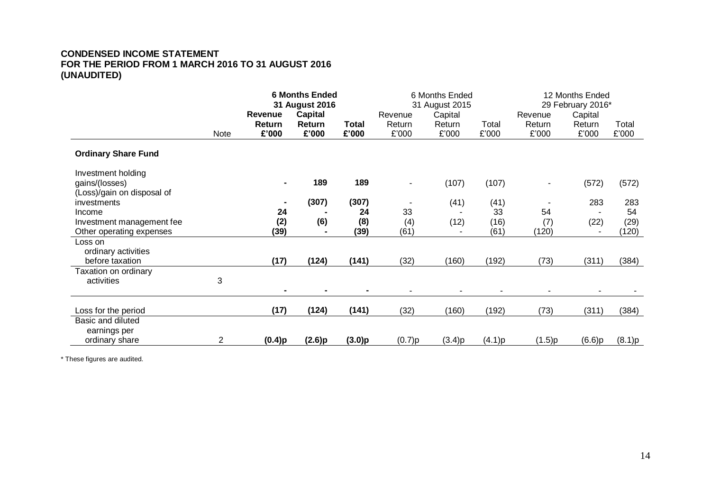## **CONDENSED INCOME STATEMENT FOR THE PERIOD FROM 1 MARCH 2016 TO 31 AUGUST 2016 (UNAUDITED)**

|                                           |                | <b>6 Months Ended</b><br>31 August 2016 |                 | 6 Months Ended<br>31 August 2015 |                 |                 | 12 Months Ended<br>29 February 2016* |                 |                 |                |
|-------------------------------------------|----------------|-----------------------------------------|-----------------|----------------------------------|-----------------|-----------------|--------------------------------------|-----------------|-----------------|----------------|
|                                           |                | Revenue                                 | <b>Capital</b>  |                                  | Revenue         | Capital         |                                      | Revenue         | Capital         |                |
|                                           | Note           | Return<br>£'000                         | Return<br>£'000 | <b>Total</b><br>£'000            | Return<br>£'000 | Return<br>£'000 | Total<br>£'000                       | Return<br>£'000 | Return<br>£'000 | Total<br>£'000 |
| <b>Ordinary Share Fund</b>                |                |                                         |                 |                                  |                 |                 |                                      |                 |                 |                |
| Investment holding<br>gains/(losses)      |                |                                         | 189             | 189                              | ٠               | (107)           | (107)                                |                 | (572)           | (572)          |
| (Loss)/gain on disposal of<br>investments |                |                                         | (307)           | (307)                            |                 | (41)            | (41)                                 |                 | 283             | 283            |
| Income                                    |                | 24                                      |                 | 24                               | 33              |                 | 33                                   | 54              |                 | 54             |
| Investment management fee                 |                | (2)                                     | (6)             | (8)                              | (4)             | (12)            | (16)                                 | (7)             | (22)            | (29)           |
| Other operating expenses                  |                | (39)                                    |                 | (39)                             | (61)            |                 | (61)                                 | (120)           |                 | (120)          |
| Loss on                                   |                |                                         |                 |                                  |                 |                 |                                      |                 |                 |                |
| ordinary activities                       |                |                                         |                 |                                  |                 |                 |                                      |                 |                 |                |
| before taxation<br>Taxation on ordinary   |                | (17)                                    | (124)           | (141)                            | (32)            | (160)           | (192)                                | (73)            | (311)           | (384)          |
| activities                                | 3              |                                         |                 |                                  |                 |                 |                                      |                 |                 |                |
|                                           |                |                                         |                 |                                  |                 |                 |                                      |                 |                 |                |
| Loss for the period                       |                | (17)                                    | (124)           | (141)                            | (32)            | (160)           | (192)                                | (73)            | (311)           | (384)          |
| Basic and diluted                         |                |                                         |                 |                                  |                 |                 |                                      |                 |                 |                |
| earnings per                              |                |                                         |                 |                                  |                 |                 |                                      |                 |                 |                |
| ordinary share                            | $\overline{2}$ | (0.4)p                                  | (2.6)p          | (3.0)p                           | (0.7)p          | (3.4)p          | (4.1)p                               | (1.5)p          | (6.6)p          | (8.1)p         |

\* These figures are audited.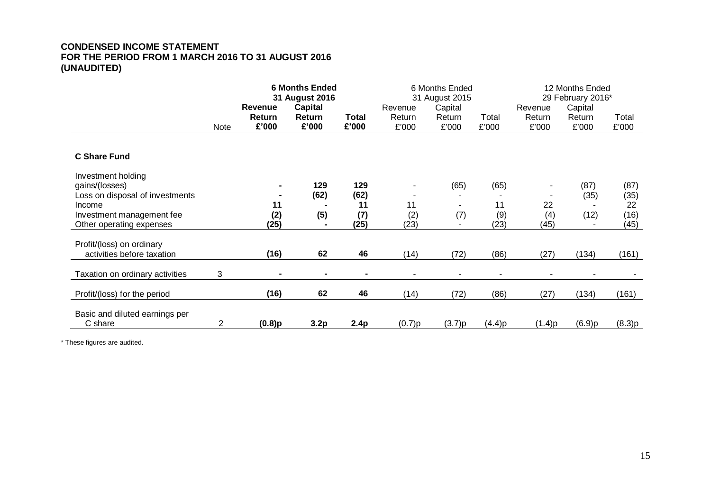## **CONDENSED INCOME STATEMENT FOR THE PERIOD FROM 1 MARCH 2016 TO 31 AUGUST 2016 (UNAUDITED)**

|                                                                         |                | <b>6 Months Ended</b><br>31 August 2016<br><b>Revenue</b><br><b>Capital</b> |                |                | 6 Months Ended<br>31 August 2015<br>Capital<br>Revenue |        |                | 12 Months Ended<br>29 February 2016*<br>Capital<br>Revenue |              |              |
|-------------------------------------------------------------------------|----------------|-----------------------------------------------------------------------------|----------------|----------------|--------------------------------------------------------|--------|----------------|------------------------------------------------------------|--------------|--------------|
|                                                                         |                | Return                                                                      | Return         | Total          | Return                                                 | Return | Total          | Return                                                     | Return       | Total        |
|                                                                         | Note           | £'000                                                                       | £'000          | £'000          | £'000                                                  | £'000  | £'000          | £'000                                                      | £'000        | £'000        |
| <b>C Share Fund</b>                                                     |                |                                                                             |                |                |                                                        |        |                |                                                            |              |              |
| Investment holding<br>gains/(losses)<br>Loss on disposal of investments |                |                                                                             | 129<br>(62)    | 129<br>(62)    |                                                        | (65)   | (65)           |                                                            | (87)<br>(35) | (87)<br>(35) |
| Income                                                                  |                | 11                                                                          |                | 11             | 11                                                     | ۰      | 11             | 22                                                         |              | 22           |
| Investment management fee<br>Other operating expenses                   |                | (2)<br>(25)                                                                 | (5)            | (7)<br>(25)    | (2)<br>(23)                                            | (7)    | (9)<br>(23)    | (4)<br>(45)                                                | (12)<br>٠    | (16)<br>(45) |
| Profit/(loss) on ordinary<br>activities before taxation                 |                | (16)                                                                        | 62             | 46             | (14)                                                   | (72)   | (86)           | (27)                                                       | (134)        | (161)        |
| Taxation on ordinary activities                                         | 3              |                                                                             | $\blacksquare$ | $\blacksquare$ |                                                        | ٠      | $\blacksquare$ |                                                            | ٠            |              |
| Profit/(loss) for the period                                            |                | (16)                                                                        | 62             | 46             | (14)                                                   | (72)   | (86)           | (27)                                                       | (134)        | (161)        |
| Basic and diluted earnings per<br>C share                               | $\overline{2}$ | $(0.8)$ p                                                                   | 3.2p           | 2.4p           | (0.7)p                                                 | (3.7)p | (4.4)p         | (1.4)p                                                     | (6.9)p       | (8.3)p       |

\* These figures are audited.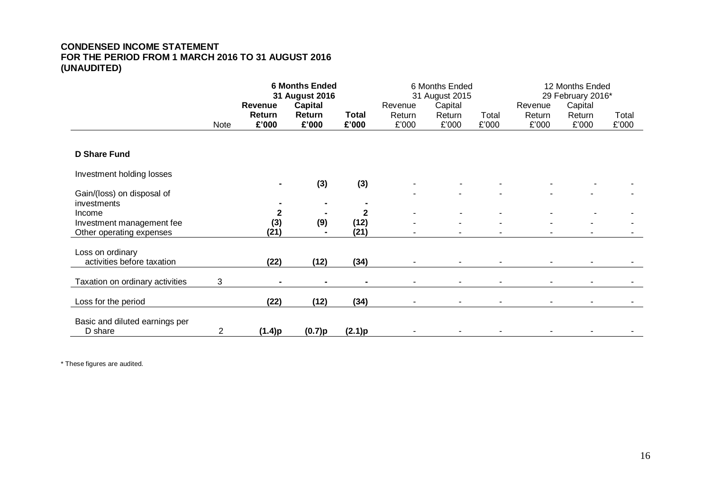## **CONDENSED INCOME STATEMENT FOR THE PERIOD FROM 1 MARCH 2016 TO 31 AUGUST 2016 (UNAUDITED)**

|                                                       |      | <b>6 Months Ended</b><br>31 August 2016<br><b>Capital</b><br><b>Revenue</b> |                 |                       | 6 Months Ended<br>31 August 2015<br>Capital<br>Revenue |                 |                | 12 Months Ended<br>29 February 2016*<br>Capital<br>Revenue |                 |                |
|-------------------------------------------------------|------|-----------------------------------------------------------------------------|-----------------|-----------------------|--------------------------------------------------------|-----------------|----------------|------------------------------------------------------------|-----------------|----------------|
|                                                       | Note | <b>Return</b><br>£'000                                                      | Return<br>£'000 | <b>Total</b><br>£'000 | Return<br>£'000                                        | Return<br>£'000 | Total<br>£'000 | Return<br>£'000                                            | Return<br>£'000 | Total<br>£'000 |
|                                                       |      |                                                                             |                 |                       |                                                        |                 |                |                                                            |                 |                |
| <b>D Share Fund</b>                                   |      |                                                                             |                 |                       |                                                        |                 |                |                                                            |                 |                |
| Investment holding losses                             |      |                                                                             | (3)             | (3)                   |                                                        |                 |                |                                                            |                 |                |
| Gain/(loss) on disposal of<br>investments             |      |                                                                             |                 |                       |                                                        |                 |                |                                                            |                 |                |
| Income                                                |      | 2                                                                           |                 | $\mathbf{2}$          |                                                        |                 |                |                                                            |                 |                |
| Investment management fee<br>Other operating expenses |      | (3)<br>(21)                                                                 | (9)             | (12)<br>(21)          |                                                        |                 |                |                                                            |                 |                |
| Loss on ordinary                                      |      |                                                                             |                 |                       |                                                        |                 |                |                                                            |                 |                |
| activities before taxation                            |      | (22)                                                                        | (12)            | (34)                  |                                                        |                 |                |                                                            |                 |                |
| Taxation on ordinary activities                       | 3    |                                                                             |                 |                       |                                                        |                 |                |                                                            |                 |                |
| Loss for the period                                   |      | (22)                                                                        | (12)            | (34)                  |                                                        |                 |                |                                                            |                 |                |
| Basic and diluted earnings per<br>D share             | 2    | (1.4)p                                                                      | (0.7)p          | (2.1)p                |                                                        |                 |                |                                                            |                 |                |

\* These figures are audited.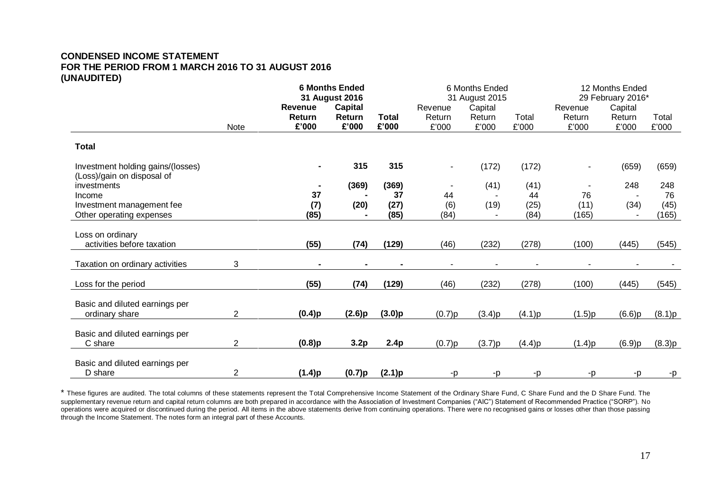## **CONDENSED INCOME STATEMENT FOR THE PERIOD FROM 1 MARCH 2016 TO 31 AUGUST 2016 (UNAUDITED)**

|                                           |                |                | <b>6 Months Ended</b> |              |         | 6 Months Ended |        | 12 Months Ended |                          |        |
|-------------------------------------------|----------------|----------------|-----------------------|--------------|---------|----------------|--------|-----------------|--------------------------|--------|
|                                           |                |                | 31 August 2016        |              |         | 31 August 2015 |        |                 | 29 February 2016*        |        |
|                                           |                | <b>Revenue</b> | <b>Capital</b>        |              | Revenue | Capital        |        | Revenue         | Capital                  |        |
|                                           |                | Return         | Return                | <b>Total</b> | Return  | Return         | Total  | Return          | Return                   | Total  |
|                                           | Note           | £'000          | £'000                 | £'000        | £'000   | £'000          | £'000  | £'000           | £'000                    | £'000  |
| <b>Total</b>                              |                |                |                       |              |         |                |        |                 |                          |        |
| Investment holding gains/(losses)         |                |                | 315                   | 315          |         | (172)          | (172)  | $\blacksquare$  | (659)                    | (659)  |
| (Loss)/gain on disposal of<br>investments |                |                | (369)                 | (369)        |         | (41)           | (41)   |                 | 248                      | 248    |
| Income                                    |                | 37             |                       | 37           | 44      |                | 44     | 76              | $\overline{\phantom{a}}$ | 76     |
| Investment management fee                 |                | (7)            | (20)                  | (27)         | (6)     | (19)           | (25)   | (11)            | (34)                     | (45)   |
| Other operating expenses                  |                | (85)           |                       | (85)         | (84)    |                | (84)   | (165)           |                          | (165)  |
|                                           |                |                |                       |              |         |                |        |                 |                          |        |
| Loss on ordinary                          |                |                |                       |              |         |                |        |                 |                          |        |
| activities before taxation                |                | (55)           | (74)                  | (129)        | (46)    | (232)          | (278)  | (100)           | (445)                    | (545)  |
| Taxation on ordinary activities           | 3              |                |                       |              |         |                |        |                 |                          |        |
| Loss for the period                       |                | (55)           | (74)                  | (129)        | (46)    | (232)          | (278)  | (100)           | (445)                    | (545)  |
|                                           |                |                |                       |              |         |                |        |                 |                          |        |
| Basic and diluted earnings per            |                |                |                       |              |         |                |        |                 |                          |        |
| ordinary share                            | $\overline{2}$ | (0.4)p         | (2.6)p                | (3.0)p       | (0.7)p  | (3.4)p         | (4.1)p | (1.5)p          | (6.6)p                   | (8.1)p |
| Basic and diluted earnings per            |                |                |                       |              |         |                |        |                 |                          |        |
| C share                                   | 2              | $(0.8)$ p      | 3.2p                  | 2.4p         | (0.7)p  | (3.7)p         | (4.4)p | (1.4)p          | (6.9)p                   | (8.3)p |
|                                           |                |                |                       |              |         |                |        |                 |                          |        |
| Basic and diluted earnings per            |                |                |                       |              |         |                |        |                 |                          |        |
| D share                                   | 2              | (1.4)p         | (0.7)p                | (2.1)p       | -p      | -p             | -p     | -p              | -p                       | -p     |

\* These figures are audited. The total columns of these statements represent the Total Comprehensive Income Statement of the Ordinary Share Fund, C Share Fund and the D Share Fund. The supplementary revenue return and capital return columns are both prepared in accordance with the Association of Investment Companies ("AIC") Statement of Recommended Practice ("SORP"). No operations were acquired or discontinued during the period. All items in the above statements derive from continuing operations. There were no recognised gains or losses other than those passing through the Income Statement. The notes form an integral part of these Accounts.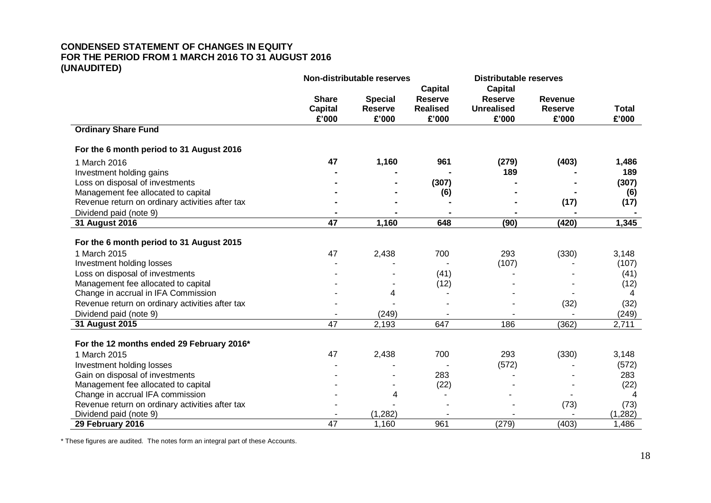## **CONDENSED STATEMENT OF CHANGES IN EQUITY FOR THE PERIOD FROM 1 MARCH 2016 TO 31 AUGUST 2016 (UNAUDITED)**

|                                                 | Non-distributable reserves |                |                 | <b>Distributable reserves</b> |                |              |
|-------------------------------------------------|----------------------------|----------------|-----------------|-------------------------------|----------------|--------------|
|                                                 |                            |                | <b>Capital</b>  | <b>Capital</b>                |                |              |
|                                                 | <b>Share</b>               | <b>Special</b> | <b>Reserve</b>  | <b>Reserve</b>                | <b>Revenue</b> |              |
|                                                 | <b>Capital</b>             | <b>Reserve</b> | <b>Realised</b> | <b>Unrealised</b>             | <b>Reserve</b> | <b>Total</b> |
|                                                 | £'000                      | £'000          | £'000           | £'000                         | £'000          | £'000        |
| <b>Ordinary Share Fund</b>                      |                            |                |                 |                               |                |              |
| For the 6 month period to 31 August 2016        |                            |                |                 |                               |                |              |
| 1 March 2016                                    | 47                         | 1,160          | 961             | (279)                         | (403)          | 1,486        |
| Investment holding gains                        |                            |                |                 | 189                           |                | 189          |
| Loss on disposal of investments                 |                            |                | (307)           |                               |                | (307)        |
| Management fee allocated to capital             |                            |                | (6)             |                               |                | (6)          |
| Revenue return on ordinary activities after tax |                            |                |                 |                               | (17)           | (17)         |
| Dividend paid (note 9)                          |                            |                |                 |                               |                |              |
| 31 August 2016                                  | 47                         | 1,160          | 648             | (90)                          | (420)          | 1,345        |
|                                                 |                            |                |                 |                               |                |              |
| For the 6 month period to 31 August 2015        |                            |                |                 |                               |                |              |
| 1 March 2015                                    | 47                         | 2,438          | 700             | 293                           | (330)          | 3,148        |
| Investment holding losses                       |                            |                |                 | (107)                         |                | (107)        |
| Loss on disposal of investments                 |                            |                | (41)            |                               |                | (41)         |
| Management fee allocated to capital             |                            |                | (12)            |                               |                | (12)         |
| Change in accrual in IFA Commission             |                            | 4              |                 |                               |                | 4            |
| Revenue return on ordinary activities after tax |                            |                |                 |                               | (32)           | (32)         |
| Dividend paid (note 9)                          |                            | (249)          |                 |                               |                | (249)        |
| 31 August 2015                                  | 47                         | 2,193          | 647             | 186                           | (362)          | 2,711        |
|                                                 |                            |                |                 |                               |                |              |
| For the 12 months ended 29 February 2016*       |                            |                |                 |                               |                |              |
| 1 March 2015                                    | 47                         | 2,438          | 700             | 293                           | (330)          | 3,148        |
| Investment holding losses                       |                            |                |                 | (572)                         |                | (572)        |
| Gain on disposal of investments                 |                            |                | 283             |                               |                | 283          |
| Management fee allocated to capital             |                            |                | (22)            |                               |                | (22)         |
| Change in accrual IFA commission                |                            | 4              |                 |                               |                | 4            |
| Revenue return on ordinary activities after tax |                            |                |                 |                               | (73)           | (73)         |
| Dividend paid (note 9)                          |                            | (1, 282)       |                 |                               |                | (1, 282)     |
| 29 February 2016                                | $\overline{47}$            | 1,160          | 961             | (279)                         | (403)          | 1,486        |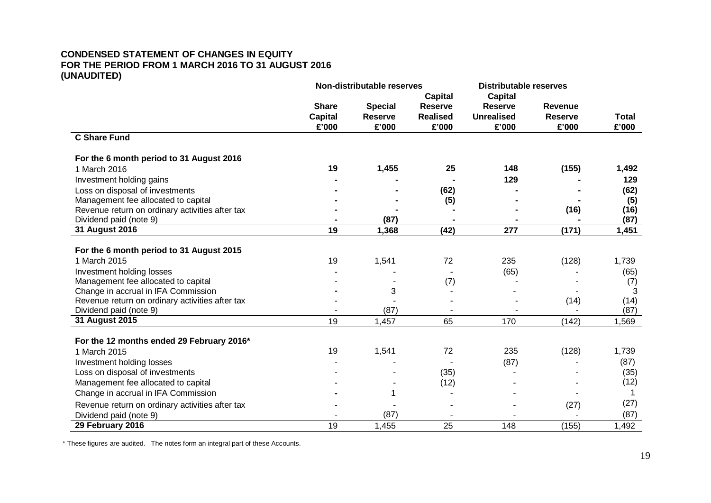## **CONDENSED STATEMENT OF CHANGES IN EQUITY FOR THE PERIOD FROM 1 MARCH 2016 TO 31 AUGUST 2016 (UNAUDITED)**

|                                                 | Non-distributable reserves |                | <b>Distributable reserves</b> |                   |                |              |
|-------------------------------------------------|----------------------------|----------------|-------------------------------|-------------------|----------------|--------------|
|                                                 |                            |                | Capital                       | <b>Capital</b>    |                |              |
|                                                 | <b>Share</b>               | <b>Special</b> | <b>Reserve</b>                | <b>Reserve</b>    | <b>Revenue</b> |              |
|                                                 | <b>Capital</b>             | <b>Reserve</b> | <b>Realised</b>               | <b>Unrealised</b> | <b>Reserve</b> | <b>Total</b> |
|                                                 | £'000                      | £'000          | £'000                         | £'000             | £'000          | £'000        |
| <b>C Share Fund</b>                             |                            |                |                               |                   |                |              |
| For the 6 month period to 31 August 2016        |                            |                |                               |                   |                |              |
| 1 March 2016                                    | 19                         | 1,455          | 25                            | 148               | (155)          | 1,492        |
| Investment holding gains                        |                            |                |                               | 129               |                | 129          |
| Loss on disposal of investments                 |                            |                | (62)                          |                   |                | (62)         |
| Management fee allocated to capital             |                            |                | (5)                           |                   |                | (5)          |
| Revenue return on ordinary activities after tax |                            |                |                               |                   | (16)           | (16)         |
| Dividend paid (note 9)                          |                            | (87)           |                               |                   |                | (87)         |
| 31 August 2016                                  | 19                         | 1,368          | (42)                          | 277               | (171)          | 1,451        |
| For the 6 month period to 31 August 2015        |                            |                |                               |                   |                |              |
| 1 March 2015                                    | 19                         | 1,541          | 72                            | 235               | (128)          | 1,739        |
| Investment holding losses                       |                            |                |                               | (65)              |                | (65)         |
| Management fee allocated to capital             |                            |                | (7)                           |                   |                | (7)          |
| Change in accrual in IFA Commission             |                            | 3              |                               |                   |                | 3            |
| Revenue return on ordinary activities after tax |                            |                |                               |                   | (14)           | (14)         |
| Dividend paid (note 9)                          |                            | (87)           |                               |                   |                | (87)         |
| 31 August 2015                                  | 19                         | 1,457          | 65                            | 170               | (142)          | 1,569        |
| For the 12 months ended 29 February 2016*       |                            |                |                               |                   |                |              |
| 1 March 2015                                    | 19                         | 1,541          | 72                            | 235               | (128)          | 1,739        |
| Investment holding losses                       |                            |                |                               | (87)              |                | (87)         |
| Loss on disposal of investments                 |                            |                | (35)                          |                   |                | (35)         |
| Management fee allocated to capital             |                            |                | (12)                          |                   |                | (12)         |
| Change in accrual in IFA Commission             |                            | 1              |                               |                   |                | 1            |
| Revenue return on ordinary activities after tax |                            |                |                               |                   | (27)           | (27)         |
| Dividend paid (note 9)                          |                            | (87)           |                               |                   |                | (87)         |
| 29 February 2016                                | $\overline{19}$            | 1,455          | $\overline{25}$               | $\overline{148}$  | (155)          | 1,492        |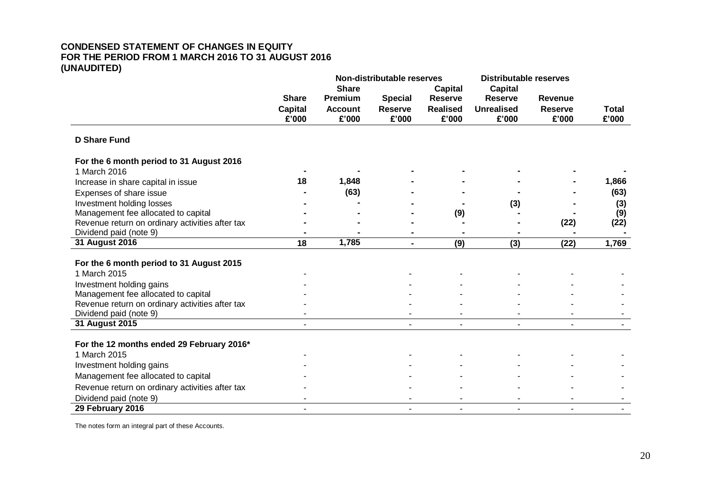## **CONDENSED STATEMENT OF CHANGES IN EQUITY FOR THE PERIOD FROM 1 MARCH 2016 TO 31 AUGUST 2016 (UNAUDITED)**

|                                                 |                |                | Non-distributable reserves |                 | <b>Distributable reserves</b> |                |              |
|-------------------------------------------------|----------------|----------------|----------------------------|-----------------|-------------------------------|----------------|--------------|
|                                                 |                | <b>Share</b>   |                            | <b>Capital</b>  | <b>Capital</b>                |                |              |
|                                                 | <b>Share</b>   | Premium        | <b>Special</b>             | <b>Reserve</b>  | <b>Reserve</b>                | <b>Revenue</b> |              |
|                                                 | <b>Capital</b> | <b>Account</b> | <b>Reserve</b>             | <b>Realised</b> | <b>Unrealised</b>             | <b>Reserve</b> | <b>Total</b> |
|                                                 | £'000          | £'000          | £'000                      | £'000           | £'000                         | £'000          | £'000        |
| <b>D Share Fund</b>                             |                |                |                            |                 |                               |                |              |
| For the 6 month period to 31 August 2016        |                |                |                            |                 |                               |                |              |
| 1 March 2016                                    |                |                |                            |                 |                               |                |              |
| Increase in share capital in issue              | 18             | 1,848          |                            |                 |                               |                | 1,866        |
| Expenses of share issue                         |                | (63)           |                            |                 |                               |                | (63)         |
| Investment holding losses                       |                |                |                            |                 | (3)                           |                | (3)          |
| Management fee allocated to capital             |                |                |                            | (9)             |                               |                | (9)          |
| Revenue return on ordinary activities after tax |                |                |                            |                 |                               | (22)           | (22)         |
| Dividend paid (note 9)                          |                |                |                            |                 |                               |                |              |
| 31 August 2016                                  | 18             | 1,785          | $\blacksquare$             | (9)             | (3)                           | (22)           | 1,769        |
| For the 6 month period to 31 August 2015        |                |                |                            |                 |                               |                |              |
| 1 March 2015                                    |                |                |                            |                 |                               |                |              |
| Investment holding gains                        |                |                |                            |                 |                               |                |              |
| Management fee allocated to capital             |                |                |                            |                 |                               |                |              |
| Revenue return on ordinary activities after tax |                |                |                            |                 |                               |                |              |
| Dividend paid (note 9)                          |                |                |                            |                 |                               |                |              |
| 31 August 2015                                  |                |                |                            |                 |                               |                |              |
| For the 12 months ended 29 February 2016*       |                |                |                            |                 |                               |                |              |
| 1 March 2015                                    |                |                |                            |                 |                               |                |              |
| Investment holding gains                        |                |                |                            |                 |                               |                |              |
|                                                 |                |                |                            |                 |                               |                |              |
| Management fee allocated to capital             |                |                |                            |                 |                               |                |              |
| Revenue return on ordinary activities after tax |                |                |                            |                 |                               |                |              |
| Dividend paid (note 9)                          |                |                |                            |                 |                               |                |              |
| 29 February 2016                                |                |                |                            |                 |                               |                |              |

The notes form an integral part of these Accounts.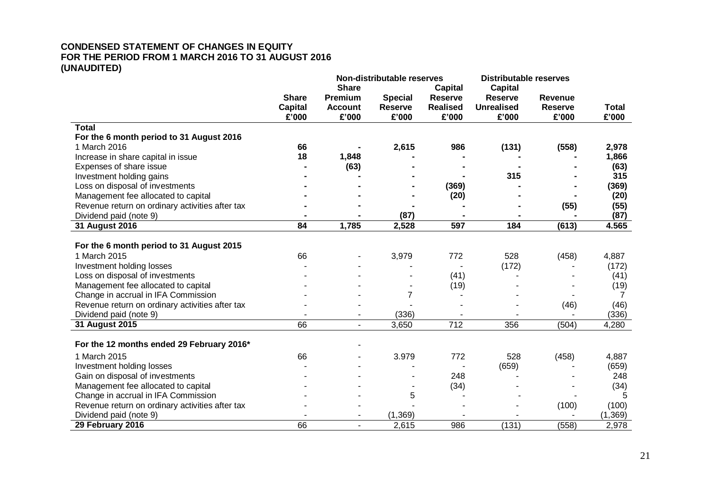## **CONDENSED STATEMENT OF CHANGES IN EQUITY FOR THE PERIOD FROM 1 MARCH 2016 TO 31 AUGUST 2016 (UNAUDITED)**

|                                                 |                 |                | Non-distributable reserves |                 | <b>Distributable reserves</b> |                |              |
|-------------------------------------------------|-----------------|----------------|----------------------------|-----------------|-------------------------------|----------------|--------------|
|                                                 |                 | <b>Share</b>   |                            | <b>Capital</b>  | <b>Capital</b>                |                |              |
|                                                 | <b>Share</b>    | Premium        | <b>Special</b>             | <b>Reserve</b>  | <b>Reserve</b>                | <b>Revenue</b> |              |
|                                                 | <b>Capital</b>  | <b>Account</b> | <b>Reserve</b>             | <b>Realised</b> | <b>Unrealised</b>             | <b>Reserve</b> | <b>Total</b> |
|                                                 | £'000           | £'000          | £'000                      | £'000           | £'000                         | £'000          | £'000        |
| <b>Total</b>                                    |                 |                |                            |                 |                               |                |              |
| For the 6 month period to 31 August 2016        |                 |                |                            |                 |                               |                |              |
| 1 March 2016                                    | 66              |                | 2,615                      | 986             | (131)                         | (558)          | 2,978        |
| Increase in share capital in issue              | 18              | 1,848          |                            |                 |                               |                | 1,866        |
| Expenses of share issue                         |                 | (63)           |                            |                 |                               |                | (63)         |
| Investment holding gains                        |                 |                |                            |                 | 315                           |                | 315          |
| Loss on disposal of investments                 |                 |                |                            | (369)           |                               |                | (369)        |
| Management fee allocated to capital             |                 |                |                            | (20)            |                               |                | (20)         |
| Revenue return on ordinary activities after tax |                 |                |                            |                 |                               | (55)           | (55)         |
| Dividend paid (note 9)                          |                 |                | (87)                       |                 |                               |                | (87)         |
| 31 August 2016                                  | $\overline{84}$ | 1,785          | 2,528                      | 597             | 184                           | (613)          | 4.565        |
|                                                 |                 |                |                            |                 |                               |                |              |
| For the 6 month period to 31 August 2015        |                 |                |                            |                 |                               |                |              |
| 1 March 2015                                    | 66              |                | 3,979                      | 772             | 528                           | (458)          | 4,887        |
| Investment holding losses                       |                 |                |                            |                 | (172)                         |                | (172)        |
| Loss on disposal of investments                 |                 |                |                            | (41)            |                               |                | (41)         |
| Management fee allocated to capital             |                 |                |                            | (19)            |                               |                | (19)         |
| Change in accrual in IFA Commission             |                 |                | 7                          |                 |                               | ٠              | 7            |
| Revenue return on ordinary activities after tax |                 |                |                            |                 |                               | (46)           | (46)         |
| Dividend paid (note 9)                          |                 |                | (336)                      |                 |                               |                | (336)        |
| 31 August 2015                                  | 66              | ä,             | 3,650                      | 712             | 356                           | (504)          | 4,280        |
| For the 12 months ended 29 February 2016*       |                 |                |                            |                 |                               |                |              |
|                                                 |                 |                |                            |                 |                               |                |              |
| 1 March 2015                                    | 66              |                | 3.979                      | 772             | 528                           | (458)          | 4,887        |
| Investment holding losses                       |                 |                |                            |                 | (659)                         |                | (659)        |
| Gain on disposal of investments                 |                 |                |                            | 248             |                               |                | 248          |
| Management fee allocated to capital             |                 |                |                            | (34)            |                               |                | (34)         |
| Change in accrual in IFA Commission             |                 |                | 5                          |                 |                               |                | 5            |
| Revenue return on ordinary activities after tax |                 |                |                            |                 |                               | (100)          | (100)        |
| Dividend paid (note 9)                          |                 |                | (1, 369)                   |                 |                               |                | (1, 369)     |
| 29 February 2016                                | 66              |                | 2,615                      | 986             | (131)                         | (558)          | 2,978        |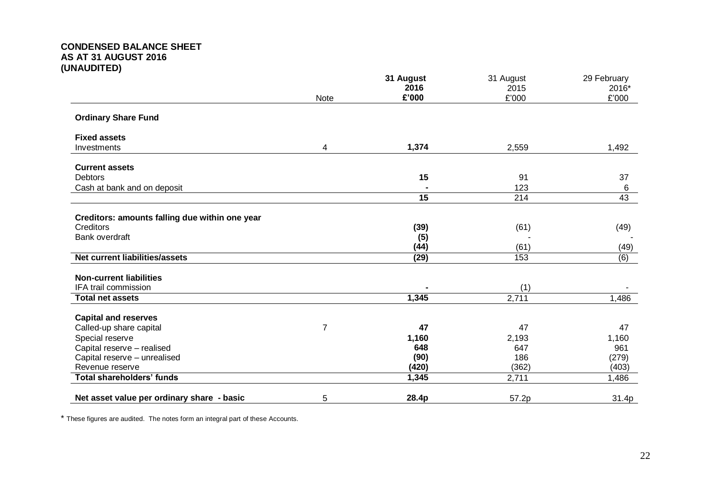|                                                |             | 31 August       | 31 August     | 29 February    |
|------------------------------------------------|-------------|-----------------|---------------|----------------|
|                                                | <b>Note</b> | 2016<br>£'000   | 2015<br>£'000 | 2016*<br>£'000 |
| <b>Ordinary Share Fund</b>                     |             |                 |               |                |
| <b>Fixed assets</b>                            |             |                 |               |                |
| Investments                                    | 4           | 1,374           | 2,559         | 1,492          |
| <b>Current assets</b>                          |             |                 |               |                |
| <b>Debtors</b>                                 |             | 15              | 91            | 37             |
| Cash at bank and on deposit                    |             |                 | 123           | 6              |
|                                                |             | $\overline{15}$ | 214           | 43             |
| Creditors: amounts falling due within one year |             |                 |               |                |
| Creditors                                      |             | (39)            | (61)          | (49)           |
| Bank overdraft                                 |             | (5)             |               |                |
|                                                |             | (44)            | (61)          | (49)           |
| Net current liabilities/assets                 |             | (29)            | 153           | (6)            |
| <b>Non-current liabilities</b>                 |             |                 |               |                |
| IFA trail commission                           |             |                 | (1)           |                |
| <b>Total net assets</b>                        |             | 1,345           | 2,711         | 1,486          |
| <b>Capital and reserves</b>                    |             |                 |               |                |
| Called-up share capital                        | 7           | 47              | 47            | 47             |
| Special reserve                                |             | 1,160           | 2,193         | 1,160          |
| Capital reserve - realised                     |             | 648             | 647           | 961            |
| Capital reserve - unrealised                   |             | (90)            | 186           | (279)          |
| Revenue reserve                                |             | (420)           | (362)         | (403)          |
| <b>Total shareholders' funds</b>               |             | 1,345           | 2,711         | 1,486          |
| Net asset value per ordinary share - basic     | 5           | 28.4p           | 57.2p         | 31.4p          |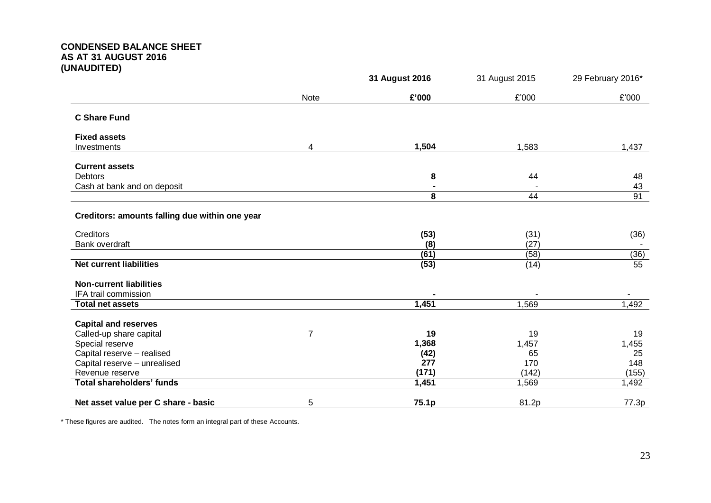|                                                |      | 31 August 2016 | 31 August 2015 | 29 February 2016* |
|------------------------------------------------|------|----------------|----------------|-------------------|
|                                                | Note | £'000          | £'000          | £'000             |
| <b>C Share Fund</b>                            |      |                |                |                   |
| <b>Fixed assets</b>                            |      |                |                |                   |
| Investments                                    | 4    | 1,504          | 1,583          | 1,437             |
| <b>Current assets</b>                          |      |                |                |                   |
| <b>Debtors</b>                                 |      | 8              | 44             | 48                |
| Cash at bank and on deposit                    |      |                |                | 43                |
|                                                |      | 8              | 44             | 91                |
| Creditors: amounts falling due within one year |      |                |                |                   |
| Creditors                                      |      | (53)           | (31)           | (36)              |
| Bank overdraft                                 |      | (8)            | (27)           |                   |
|                                                |      | (61)           | (58)           | (36)              |
| <b>Net current liabilities</b>                 |      | (53)           | (14)           | 55                |
| <b>Non-current liabilities</b>                 |      |                |                |                   |
| IFA trail commission                           |      |                |                |                   |
| <b>Total net assets</b>                        |      | 1,451          | 1,569          | 1,492             |
| <b>Capital and reserves</b>                    |      |                |                |                   |
| Called-up share capital                        | 7    | 19             | 19             | 19                |
| Special reserve                                |      | 1,368          | 1,457          | 1,455             |
| Capital reserve - realised                     |      | (42)           | 65             | 25                |
| Capital reserve - unrealised                   |      | 277            | 170            | 148               |
| Revenue reserve                                |      | (171)          | (142)          | (155)             |
| <b>Total shareholders' funds</b>               |      | 1,451          | 1,569          | 1,492             |
| Net asset value per C share - basic            | 5    | 75.1p          | 81.2p          | 77.3p             |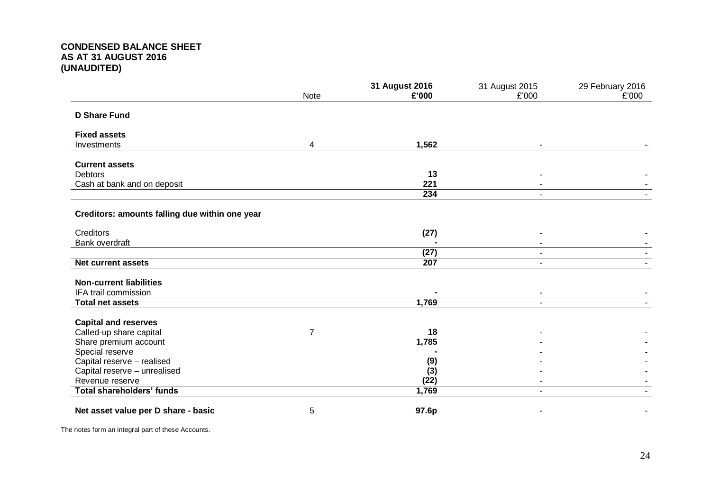|                                                |      | 31 August 2016 | 31 August 2015 | 29 February 2016 |
|------------------------------------------------|------|----------------|----------------|------------------|
|                                                | Note | £'000          | £'000          | £'000            |
| <b>D Share Fund</b>                            |      |                |                |                  |
| <b>Fixed assets</b>                            |      |                |                |                  |
| Investments                                    | 4    | 1,562          | ۰              |                  |
|                                                |      |                |                |                  |
| <b>Current assets</b><br><b>Debtors</b>        |      | 13             |                |                  |
| Cash at bank and on deposit                    |      | 221            |                |                  |
|                                                |      | 234            | $\blacksquare$ |                  |
|                                                |      |                |                |                  |
| Creditors: amounts falling due within one year |      |                |                |                  |
| Creditors                                      |      | (27)           |                |                  |
| Bank overdraft                                 |      |                |                |                  |
|                                                |      | (27)           | $\blacksquare$ |                  |
| <b>Net current assets</b>                      |      | 207            | $\blacksquare$ |                  |
|                                                |      |                |                |                  |
| <b>Non-current liabilities</b>                 |      |                |                |                  |
| IFA trail commission                           |      |                | ۰              |                  |
| <b>Total net assets</b>                        |      | 1,769          | $\blacksquare$ |                  |
| <b>Capital and reserves</b>                    |      |                |                |                  |
| Called-up share capital                        | 7    | 18             |                |                  |
| Share premium account                          |      | 1,785          |                |                  |
| Special reserve                                |      |                |                |                  |
| Capital reserve - realised                     |      | (9)            |                |                  |
| Capital reserve - unrealised                   |      | (3)            |                |                  |
| Revenue reserve                                |      | (22)           |                |                  |
| <b>Total shareholders' funds</b>               |      | 1,769          | $\blacksquare$ |                  |
| Net asset value per D share - basic            | 5    | 97.6p          |                |                  |

The notes form an integral part of these Accounts.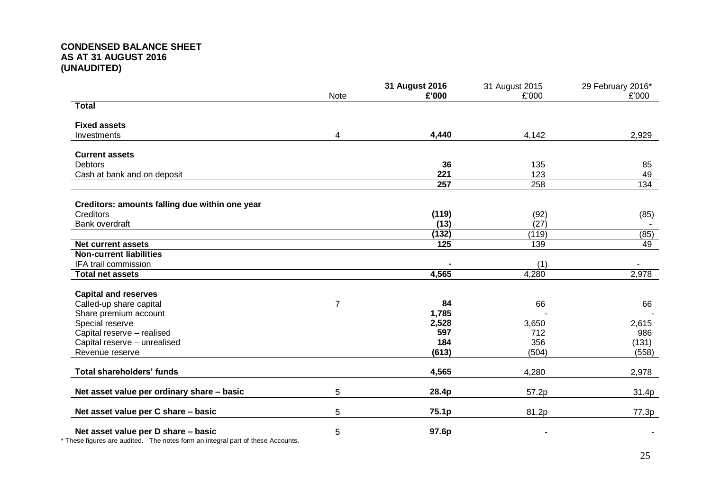|                                                | Note | 31 August 2016<br>£'000 | 31 August 2015<br>£'000 | 29 February 2016*<br>£'000 |
|------------------------------------------------|------|-------------------------|-------------------------|----------------------------|
| <b>Total</b>                                   |      |                         |                         |                            |
| <b>Fixed assets</b>                            |      |                         |                         |                            |
| Investments                                    | 4    | 4,440                   | 4,142                   | 2,929                      |
| <b>Current assets</b>                          |      |                         |                         |                            |
| <b>Debtors</b>                                 |      | 36                      | 135                     | 85                         |
| Cash at bank and on deposit                    |      | 221                     | 123                     | 49                         |
|                                                |      | $\overline{257}$        | 258                     | 134                        |
| Creditors: amounts falling due within one year |      |                         |                         |                            |
| <b>Creditors</b>                               |      | (119)                   | (92)                    | (85)                       |
| Bank overdraft                                 |      | (13)                    | (27)                    |                            |
|                                                |      | (132)                   | (119)                   | (85)                       |
| <b>Net current assets</b>                      |      | 125                     | 139                     | 49                         |
| <b>Non-current liabilities</b>                 |      |                         |                         |                            |
| IFA trail commission                           |      |                         | (1)                     | $\sim$                     |
| <b>Total net assets</b>                        |      | 4,565                   | 4,280                   | 2,978                      |
| <b>Capital and reserves</b>                    |      |                         |                         |                            |
| Called-up share capital                        | 7    | 84                      | 66                      | 66                         |
| Share premium account                          |      | 1,785                   |                         |                            |
| Special reserve                                |      | 2,528                   | 3,650                   | 2,615                      |
| Capital reserve - realised                     |      | 597                     | 712                     | 986                        |
| Capital reserve - unrealised                   |      | 184                     | 356                     | (131)                      |
| Revenue reserve                                |      | (613)                   | (504)                   | (558)                      |
| <b>Total shareholders' funds</b>               |      | 4,565                   | 4,280                   | 2,978                      |
| Net asset value per ordinary share - basic     | 5    | 28.4p                   | 57.2p                   | 31.4p                      |
| Net asset value per C share - basic            | 5    | 75.1p                   | 81.2p                   | 77.3p                      |
| Net asset value per D share - basic            | 5    | 97.6p                   |                         |                            |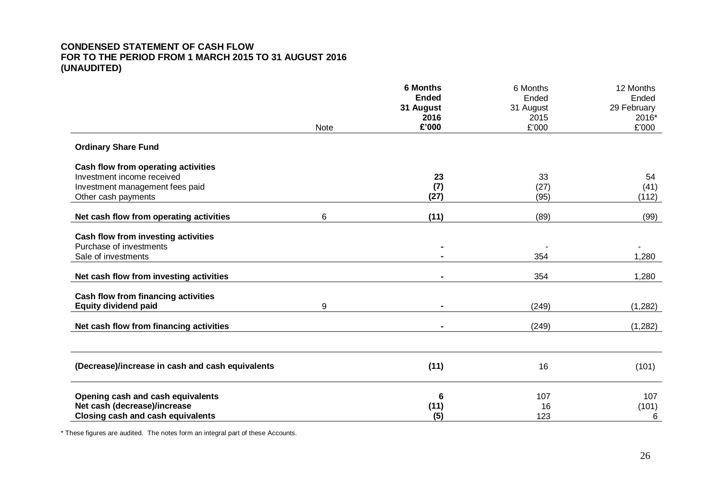|                                                  | Note | <b>6 Months</b><br><b>Ended</b><br>31 August<br>2016<br>£'000 | 6 Months<br>Ended<br>31 August<br>2015<br>£'000 | 12 Months<br>Ended<br>29 February<br>2016*<br>£'000 |
|--------------------------------------------------|------|---------------------------------------------------------------|-------------------------------------------------|-----------------------------------------------------|
| <b>Ordinary Share Fund</b>                       |      |                                                               |                                                 |                                                     |
| Cash flow from operating activities              |      |                                                               |                                                 |                                                     |
| Investment income received                       |      | 23                                                            | 33                                              | 54                                                  |
| Investment management fees paid                  |      | (7)                                                           | (27)                                            | (41)                                                |
| Other cash payments                              |      | (27)                                                          | (95)                                            | (112)                                               |
| Net cash flow from operating activities          | 6    | (11)                                                          | (89)                                            | (99)                                                |
| Cash flow from investing activities              |      |                                                               |                                                 |                                                     |
| Purchase of investments                          |      |                                                               |                                                 |                                                     |
| Sale of investments                              |      |                                                               | 354                                             | 1,280                                               |
| Net cash flow from investing activities          |      |                                                               | 354                                             | 1,280                                               |
| Cash flow from financing activities              |      |                                                               |                                                 |                                                     |
| <b>Equity dividend paid</b>                      | 9    |                                                               | (249)                                           | (1,282)                                             |
| Net cash flow from financing activities          |      |                                                               | (249)                                           | (1,282)                                             |
|                                                  |      |                                                               |                                                 |                                                     |
| (Decrease)/increase in cash and cash equivalents |      | (11)                                                          | 16                                              | (101)                                               |
| Opening cash and cash equivalents                |      | 6                                                             | 107                                             | 107                                                 |
| Net cash (decrease)/increase                     |      | (11)                                                          | 16                                              | (101)                                               |
| <b>Closing cash and cash equivalents</b>         |      | (5)                                                           | 123                                             | 6                                                   |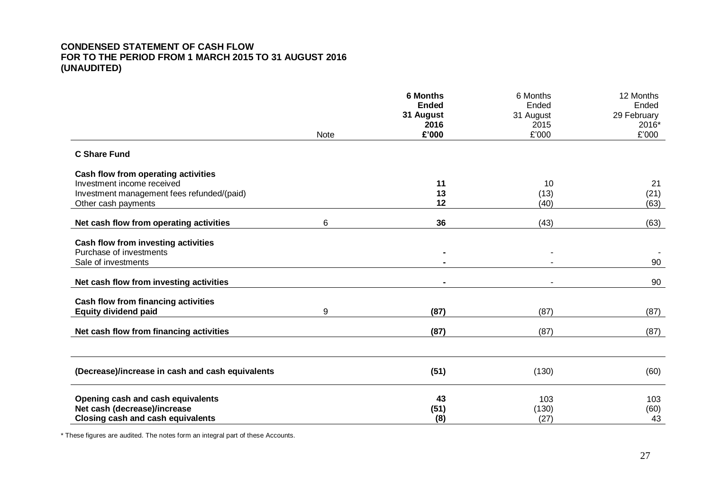|                                                  |             | <b>6 Months</b><br><b>Ended</b><br>31 August | 6 Months<br>Ended<br>31 August | 12 Months<br>Ended<br>29 February |
|--------------------------------------------------|-------------|----------------------------------------------|--------------------------------|-----------------------------------|
|                                                  | <b>Note</b> | 2016<br>£'000                                | 2015<br>£'000                  | 2016*<br>£'000                    |
| <b>C Share Fund</b>                              |             |                                              |                                |                                   |
| Cash flow from operating activities              |             |                                              |                                |                                   |
| Investment income received                       |             | 11                                           | 10                             | 21                                |
| Investment management fees refunded/(paid)       |             | 13<br>12                                     | (13)<br>(40)                   | (21)                              |
| Other cash payments                              |             |                                              |                                | (63)                              |
| Net cash flow from operating activities          | 6           | 36                                           | (43)                           | (63)                              |
| Cash flow from investing activities              |             |                                              |                                |                                   |
| Purchase of investments                          |             |                                              |                                |                                   |
| Sale of investments                              |             |                                              |                                | 90                                |
| Net cash flow from investing activities          |             |                                              |                                | 90                                |
| Cash flow from financing activities              |             |                                              |                                |                                   |
| <b>Equity dividend paid</b>                      | 9           | (87)                                         | (87)                           | (87)                              |
| Net cash flow from financing activities          |             | (87)                                         | (87)                           | (87)                              |
|                                                  |             |                                              |                                |                                   |
| (Decrease)/increase in cash and cash equivalents |             | (51)                                         | (130)                          | (60)                              |
| Opening cash and cash equivalents                |             | 43                                           | 103                            | 103                               |
| Net cash (decrease)/increase                     |             | (51)                                         | (130)                          | (60)                              |
| Closing cash and cash equivalents                |             | (8)                                          | (27)                           | 43                                |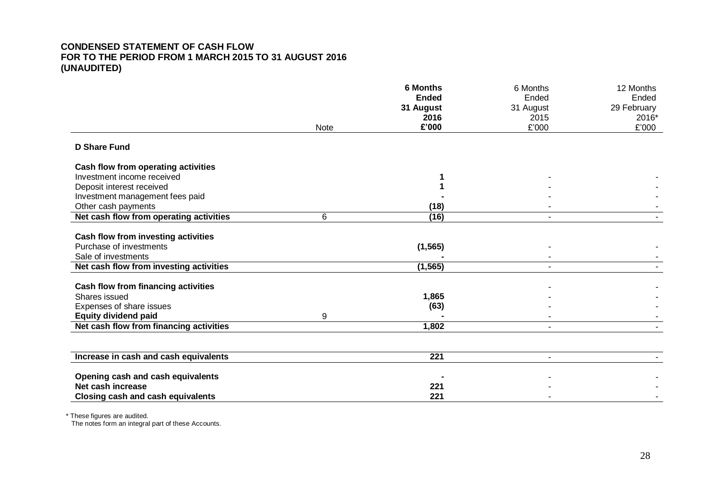|                                                      |             | <b>6 Months</b> | 6 Months                 | 12 Months            |
|------------------------------------------------------|-------------|-----------------|--------------------------|----------------------|
|                                                      |             | <b>Ended</b>    | Ended                    | Ended                |
|                                                      |             | 31 August       | 31 August                | 29 February<br>2016* |
|                                                      | <b>Note</b> | 2016<br>£'000   | 2015<br>£'000            | £'000                |
|                                                      |             |                 |                          |                      |
| <b>D Share Fund</b>                                  |             |                 |                          |                      |
| Cash flow from operating activities                  |             |                 |                          |                      |
| Investment income received                           |             |                 |                          |                      |
| Deposit interest received                            |             |                 |                          |                      |
| Investment management fees paid                      |             |                 |                          |                      |
| Other cash payments                                  |             | (18)            |                          |                      |
| Net cash flow from operating activities              | 6           | (16)            | $\overline{\phantom{a}}$ |                      |
|                                                      |             |                 |                          |                      |
| Cash flow from investing activities                  |             |                 |                          |                      |
| Purchase of investments                              |             | (1, 565)        |                          |                      |
| Sale of investments                                  |             |                 |                          |                      |
| Net cash flow from investing activities              |             | (1, 565)        |                          |                      |
|                                                      |             |                 |                          |                      |
| Cash flow from financing activities<br>Shares issued |             |                 |                          |                      |
|                                                      |             | 1,865           |                          |                      |
| Expenses of share issues                             |             | (63)            |                          |                      |
| <b>Equity dividend paid</b>                          | 9           |                 |                          |                      |
| Net cash flow from financing activities              |             | 1,802           |                          |                      |
|                                                      |             |                 |                          |                      |
| Increase in cash and cash equivalents                |             | 221             | ٠                        |                      |
| Opening cash and cash equivalents                    |             |                 |                          |                      |
| Net cash increase                                    |             | 221             |                          |                      |
| <b>Closing cash and cash equivalents</b>             |             | 221             |                          |                      |

\* These figures are audited.

The notes form an integral part of these Accounts.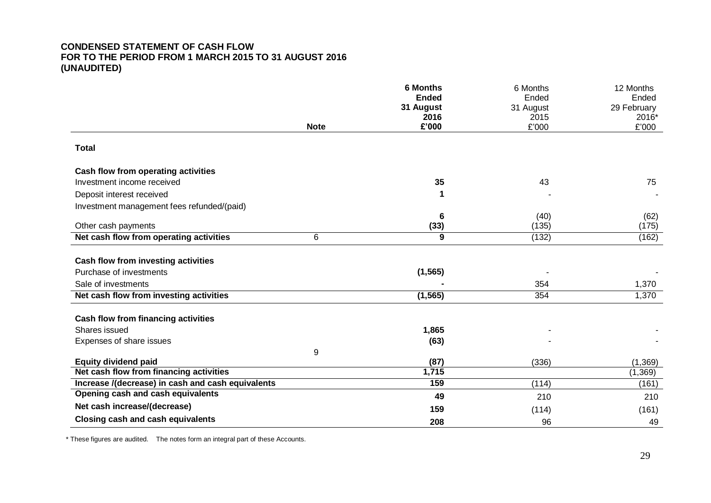|                                                   |             | <b>6 Months</b><br><b>Ended</b><br>31 August | 6 Months<br>Ended<br>31 August | 12 Months<br>Ended<br>29 February |
|---------------------------------------------------|-------------|----------------------------------------------|--------------------------------|-----------------------------------|
|                                                   |             | 2016                                         | 2015                           | 2016*                             |
|                                                   | <b>Note</b> | £'000                                        | £'000                          | £'000                             |
| <b>Total</b>                                      |             |                                              |                                |                                   |
| Cash flow from operating activities               |             |                                              |                                |                                   |
| Investment income received                        |             | 35                                           | 43                             | 75                                |
| Deposit interest received                         |             | 1                                            |                                |                                   |
| Investment management fees refunded/(paid)        |             |                                              |                                |                                   |
|                                                   |             | 6                                            | (40)                           | (62)                              |
| Other cash payments                               |             | (33)                                         | (135)                          | (175)                             |
| Net cash flow from operating activities           | 6           | $\overline{9}$                               | (132)                          | (162)                             |
| Cash flow from investing activities               |             |                                              |                                |                                   |
| Purchase of investments                           |             | (1, 565)                                     |                                |                                   |
| Sale of investments                               |             |                                              | 354                            | 1,370                             |
| Net cash flow from investing activities           |             | (1, 565)                                     | 354                            | 1,370                             |
| Cash flow from financing activities               |             |                                              |                                |                                   |
| Shares issued                                     |             | 1,865                                        |                                |                                   |
| Expenses of share issues                          |             | (63)                                         |                                |                                   |
|                                                   | 9           |                                              |                                |                                   |
| <b>Equity dividend paid</b>                       |             | (87)                                         | (336)                          | (1, 369)                          |
| Net cash flow from financing activities           |             | 1,715                                        |                                | (1, 369)                          |
| Increase /(decrease) in cash and cash equivalents |             | 159                                          | (114)                          | (161)                             |
| Opening cash and cash equivalents                 |             | 49                                           | 210                            | 210                               |
| Net cash increase/(decrease)                      |             | 159                                          | (114)                          | (161)                             |
| <b>Closing cash and cash equivalents</b>          |             | 208                                          | 96                             | 49                                |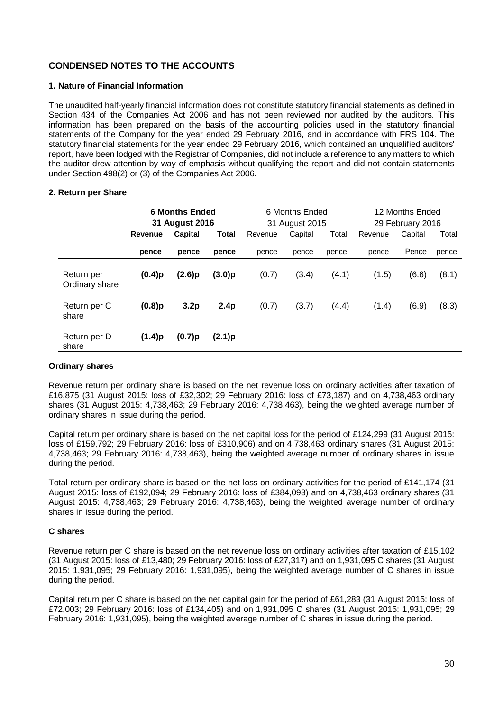## **CONDENSED NOTES TO THE ACCOUNTS**

## **1. Nature of Financial Information**

The unaudited half-yearly financial information does not constitute statutory financial statements as defined in Section 434 of the Companies Act 2006 and has not been reviewed nor audited by the auditors. This information has been prepared on the basis of the accounting policies used in the statutory financial statements of the Company for the year ended 29 February 2016, and in accordance with FRS 104. The statutory financial statements for the year ended 29 February 2016, which contained an unqualified auditors' report, have been lodged with the Registrar of Companies, did not include a reference to any matters to which the auditor drew attention by way of emphasis without qualifying the report and did not contain statements under Section 498(2) or (3) of the Companies Act 2006.

## **2. Return per Share**

|                              | <b>6 Months Ended</b><br>31 August 2016 |                | 6 Months Ended<br>31 August 2015 |         |         | 12 Months Ended<br>29 February 2016 |         |         |       |
|------------------------------|-----------------------------------------|----------------|----------------------------------|---------|---------|-------------------------------------|---------|---------|-------|
|                              | Revenue                                 | <b>Capital</b> | Total                            | Revenue | Capital | Total                               | Revenue | Capital | Total |
|                              | pence                                   | pence          | pence                            | pence   | pence   | pence                               | pence   | Pence   | pence |
| Return per<br>Ordinary share | (0.4)p                                  | (2.6)p         | (3.0)p                           | (0.7)   | (3.4)   | (4.1)                               | (1.5)   | (6.6)   | (8.1) |
| Return per C<br>share        | $(0.8)$ p                               | 3.2p           | 2.4p                             | (0.7)   | (3.7)   | (4.4)                               | (1.4)   | (6.9)   | (8.3) |
| Return per D<br>share        | (1.4)p                                  | (0.7)p         | (2.1)p                           | ۰       | -       |                                     |         | ۰       |       |

## **Ordinary shares**

Revenue return per ordinary share is based on the net revenue loss on ordinary activities after taxation of £16,875 (31 August 2015: loss of £32,302; 29 February 2016: loss of £73,187) and on 4,738,463 ordinary shares (31 August 2015: 4,738,463; 29 February 2016: 4,738,463), being the weighted average number of ordinary shares in issue during the period.

Capital return per ordinary share is based on the net capital loss for the period of £124,299 (31 August 2015: loss of £159,792; 29 February 2016: loss of £310,906) and on 4,738,463 ordinary shares (31 August 2015: 4,738,463; 29 February 2016: 4,738,463), being the weighted average number of ordinary shares in issue during the period.

Total return per ordinary share is based on the net loss on ordinary activities for the period of £141,174 (31 August 2015: loss of £192,094; 29 February 2016: loss of £384,093) and on 4,738,463 ordinary shares (31 August 2015: 4,738,463; 29 February 2016: 4,738,463), being the weighted average number of ordinary shares in issue during the period.

#### **C shares**

Revenue return per C share is based on the net revenue loss on ordinary activities after taxation of £15,102 (31 August 2015: loss of £13,480; 29 February 2016: loss of £27,317) and on 1,931,095 C shares (31 August 2015: 1,931,095; 29 February 2016: 1,931,095), being the weighted average number of C shares in issue during the period.

Capital return per C share is based on the net capital gain for the period of £61,283 (31 August 2015: loss of £72,003; 29 February 2016: loss of £134,405) and on 1,931,095 C shares (31 August 2015: 1,931,095; 29 February 2016: 1,931,095), being the weighted average number of C shares in issue during the period.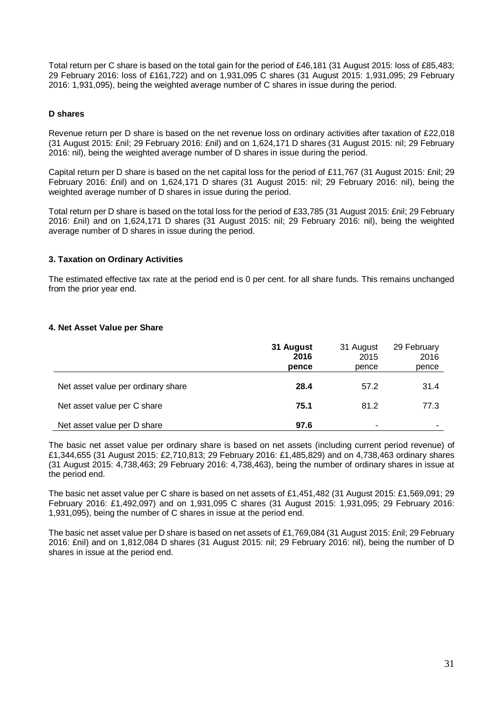Total return per C share is based on the total gain for the period of £46,181 (31 August 2015: loss of £85,483; 29 February 2016: loss of £161,722) and on 1,931,095 C shares (31 August 2015: 1,931,095; 29 February 2016: 1,931,095), being the weighted average number of C shares in issue during the period.

## **D shares**

Revenue return per D share is based on the net revenue loss on ordinary activities after taxation of £22,018 (31 August 2015: £nil; 29 February 2016: £nil) and on 1,624,171 D shares (31 August 2015: nil; 29 February 2016: nil), being the weighted average number of D shares in issue during the period.

Capital return per D share is based on the net capital loss for the period of £11,767 (31 August 2015: £nil; 29 February 2016: £nil) and on 1,624,171 D shares (31 August 2015: nil; 29 February 2016: nil), being the weighted average number of D shares in issue during the period.

Total return per D share is based on the total loss for the period of £33,785 (31 August 2015: £nil; 29 February 2016: £nil) and on 1,624,171 D shares (31 August 2015: nil; 29 February 2016: nil), being the weighted average number of D shares in issue during the period.

## **3. Taxation on Ordinary Activities**

The estimated effective tax rate at the period end is 0 per cent. for all share funds. This remains unchanged from the prior year end.

## **4. Net Asset Value per Share**

|                                    | 31 August<br>2016<br>pence | 31 August<br>2015<br>pence | 29 February<br>2016<br>pence |
|------------------------------------|----------------------------|----------------------------|------------------------------|
| Net asset value per ordinary share | 28.4                       | 57.2                       | 31.4                         |
| Net asset value per C share        | 75.1                       | 81.2                       | 77.3                         |
| Net asset value per D share        | 97.6                       | ٠                          | ۰                            |

The basic net asset value per ordinary share is based on net assets (including current period revenue) of £1,344,655 (31 August 2015: £2,710,813; 29 February 2016: £1,485,829) and on 4,738,463 ordinary shares (31 August 2015: 4,738,463; 29 February 2016: 4,738,463), being the number of ordinary shares in issue at the period end.

The basic net asset value per C share is based on net assets of £1,451,482 (31 August 2015: £1,569,091; 29 February 2016: £1,492,097) and on 1,931,095 C shares (31 August 2015: 1,931,095; 29 February 2016: 1,931,095), being the number of C shares in issue at the period end.

The basic net asset value per D share is based on net assets of £1,769,084 (31 August 2015: £nil; 29 February 2016: £nil) and on 1,812,084 D shares (31 August 2015: nil; 29 February 2016: nil), being the number of D shares in issue at the period end.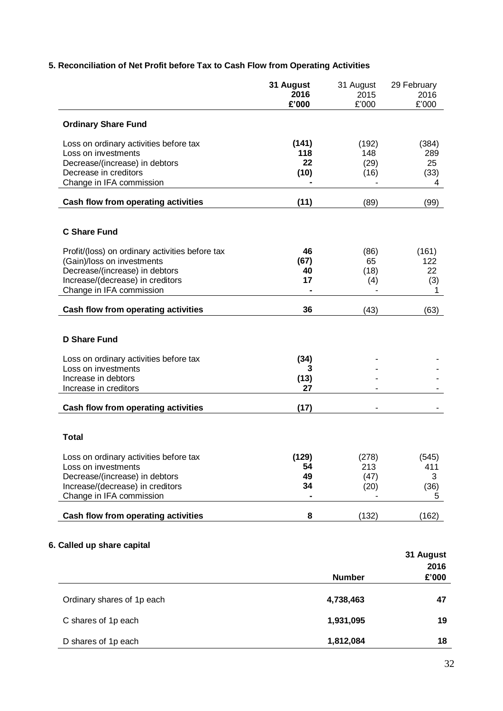|                                                                                                                                                                                 | 31 August<br>2016<br>£'000 | 31 August<br>2015<br>£'000   | 29 February<br>2016<br>£'000    |
|---------------------------------------------------------------------------------------------------------------------------------------------------------------------------------|----------------------------|------------------------------|---------------------------------|
| <b>Ordinary Share Fund</b>                                                                                                                                                      |                            |                              |                                 |
| Loss on ordinary activities before tax<br>Loss on investments<br>Decrease/(increase) in debtors<br>Decrease in creditors<br>Change in IFA commission                            | (141)<br>118<br>22<br>(10) | (192)<br>148<br>(29)<br>(16) | (384)<br>289<br>25<br>(33)<br>4 |
| Cash flow from operating activities                                                                                                                                             | (11)                       | (89)                         | (99)                            |
| <b>C Share Fund</b>                                                                                                                                                             |                            |                              |                                 |
| Profit/(loss) on ordinary activities before tax<br>(Gain)/loss on investments<br>Decrease/(increase) in debtors<br>Increase/(decrease) in creditors<br>Change in IFA commission | 46<br>(67)<br>40<br>17     | (86)<br>65<br>(18)<br>(4)    | (161)<br>122<br>22<br>(3)<br>1  |
| Cash flow from operating activities                                                                                                                                             | 36                         | (43)                         | (63)                            |
| <b>D Share Fund</b>                                                                                                                                                             |                            |                              |                                 |
| Loss on ordinary activities before tax<br>Loss on investments<br>Increase in debtors<br>Increase in creditors                                                                   | (34)<br>3<br>(13)<br>27    |                              |                                 |
| Cash flow from operating activities                                                                                                                                             | (17)                       |                              |                                 |
| <b>Total</b>                                                                                                                                                                    |                            |                              |                                 |
| Loss on ordinary activities before tax<br>Loss on investments<br>Decrease/(increase) in debtors<br>Increase/(decrease) in creditors<br>Change in IFA commission                 | (129)<br>54<br>49<br>34    | (278)<br>213<br>(47)<br>(20) | (545)<br>411<br>3<br>(36)<br>5  |
| Cash flow from operating activities                                                                                                                                             | 8                          | (132)                        | (162)                           |

# **5. Reconciliation of Net Profit before Tax to Cash Flow from Operating Activities**

# **6. Called up share capital**

|                            |               | 31 August |
|----------------------------|---------------|-----------|
|                            |               | 2016      |
|                            | <b>Number</b> | £'000     |
|                            |               |           |
| Ordinary shares of 1p each | 4,738,463     | 47        |
|                            |               |           |
| C shares of 1p each        | 1,931,095     | 19        |
|                            |               |           |
| D shares of 1p each        | 1,812,084     | 18        |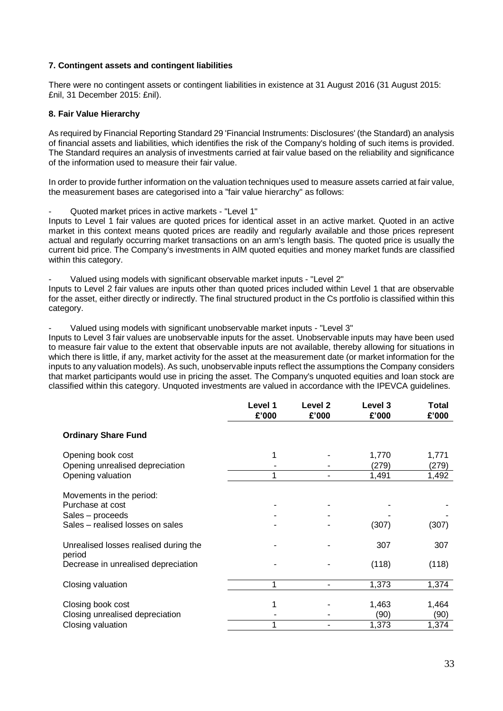## **7. Contingent assets and contingent liabilities**

There were no contingent assets or contingent liabilities in existence at 31 August 2016 (31 August 2015: £nil, 31 December 2015: £nil).

## **8. Fair Value Hierarchy**

As required by Financial Reporting Standard 29 'Financial Instruments: Disclosures' (the Standard) an analysis of financial assets and liabilities, which identifies the risk of the Company's holding of such items is provided. The Standard requires an analysis of investments carried at fair value based on the reliability and significance of the information used to measure their fair value.

In order to provide further information on the valuation techniques used to measure assets carried at fair value, the measurement bases are categorised into a "fair value hierarchy" as follows:

- Quoted market prices in active markets - "Level 1"

Inputs to Level 1 fair values are quoted prices for identical asset in an active market. Quoted in an active market in this context means quoted prices are readily and regularly available and those prices represent actual and regularly occurring market transactions on an arm's length basis. The quoted price is usually the current bid price. The Company's investments in AIM quoted equities and money market funds are classified within this category.

Valued using models with significant observable market inputs - "Level 2"

Inputs to Level 2 fair values are inputs other than quoted prices included within Level 1 that are observable for the asset, either directly or indirectly. The final structured product in the Cs portfolio is classified within this category.

Valued using models with significant unobservable market inputs - "Level 3"

Inputs to Level 3 fair values are unobservable inputs for the asset. Unobservable inputs may have been used to measure fair value to the extent that observable inputs are not available, thereby allowing for situations in which there is little, if any, market activity for the asset at the measurement date (or market information for the inputs to any valuation models). As such, unobservable inputs reflect the assumptions the Company considers that market participants would use in pricing the asset. The Company's unquoted equities and loan stock are classified within this category. Unquoted investments are valued in accordance with the IPEVCA guidelines.

|                                                 | Level 1<br>£'000 | Level 2<br>£'000 | Level 3<br>£'000 | <b>Total</b><br>£'000 |
|-------------------------------------------------|------------------|------------------|------------------|-----------------------|
| <b>Ordinary Share Fund</b>                      |                  |                  |                  |                       |
| Opening book cost                               | 1                |                  | 1,770            | 1,771                 |
| Opening unrealised depreciation                 |                  |                  | (279)            | (279)                 |
| Opening valuation                               | 1                |                  | 1,491            | 1,492                 |
| Movements in the period:                        |                  |                  |                  |                       |
| Purchase at cost                                |                  |                  |                  |                       |
| Sales - proceeds                                |                  |                  |                  |                       |
| Sales - realised losses on sales                |                  |                  | (307)            | (307)                 |
| Unrealised losses realised during the<br>period |                  |                  | 307              | 307                   |
| Decrease in unrealised depreciation             |                  |                  | (118)            | (118)                 |
| Closing valuation                               | 1                |                  | 1,373            | 1,374                 |
|                                                 |                  |                  |                  |                       |
| Closing book cost                               | 1                |                  | 1,463            | 1,464                 |
| Closing unrealised depreciation                 |                  |                  | (90)             | (90)                  |
| Closing valuation                               |                  |                  | 1,373            | 1,374                 |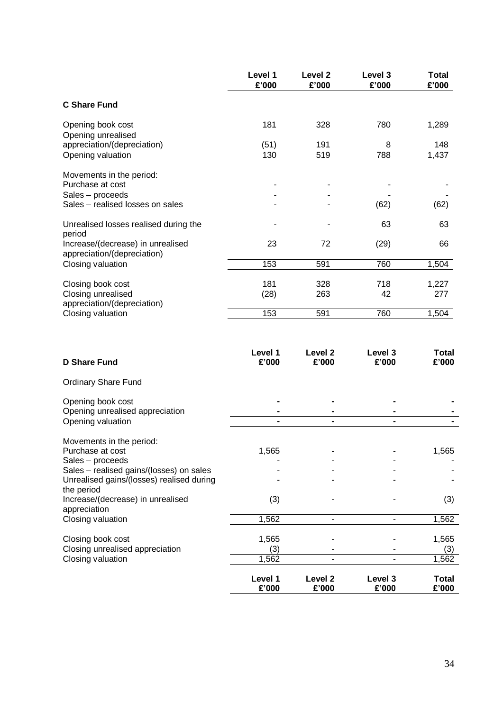|                                                                  | Level 1<br>£'000 | Level <sub>2</sub><br>£'000 | Level 3<br>£'000 | <b>Total</b><br>£'000 |
|------------------------------------------------------------------|------------------|-----------------------------|------------------|-----------------------|
| <b>C Share Fund</b>                                              |                  |                             |                  |                       |
| Opening book cost                                                | 181              | 328                         | 780              | 1,289                 |
| Opening unrealised<br>appreciation/(depreciation)                | (51)             | 191                         | 8                | 148                   |
| Opening valuation                                                | 130              | 519                         | 788              | 1,437                 |
| Movements in the period:<br>Purchase at cost                     |                  |                             |                  |                       |
| Sales - proceeds                                                 |                  |                             |                  |                       |
| Sales - realised losses on sales                                 |                  |                             | (62)             | (62)                  |
| Unrealised losses realised during the<br>period                  |                  |                             | 63               | 63                    |
| Increase/(decrease) in unrealised<br>appreciation/(depreciation) | 23               | 72                          | (29)             | 66                    |
| Closing valuation                                                | 153              | 591                         | 760              | 1,504                 |
| Closing book cost                                                | 181              | 328                         | 718              | 1,227                 |
| Closing unrealised                                               | (28)             | 263                         | 42               | 277                   |
| appreciation/(depreciation)<br>Closing valuation                 | 153              | 591                         | 760              | 1,504                 |
|                                                                  |                  |                             |                  |                       |
| <b>D Share Fund</b>                                              | Level 1<br>£'000 | Level 2<br>£'000            | Level 3<br>£'000 | <b>Total</b><br>£'000 |
| <b>Ordinary Share Fund</b>                                       |                  |                             |                  |                       |
| Opening book cost                                                |                  |                             |                  |                       |
| Opening unrealised appreciation                                  |                  |                             |                  |                       |
| Opening valuation                                                |                  | $\blacksquare$              | $\blacksquare$   |                       |
| Movements in the period:<br>Purchase at cost                     | 1,565            |                             |                  | 1,565                 |
| Sales - proceeds<br>Sales - realised gains/(losses) on sales     |                  |                             |                  |                       |
| Unrealised gains/(losses) realised during<br>the period          |                  |                             |                  |                       |
| Increase/(decrease) in unrealised<br>appreciation                | (3)              |                             |                  | (3)                   |
| Closing valuation                                                | 1,562            |                             |                  | 1,562                 |
| Closing book cost                                                | 1,565            |                             |                  | 1,565                 |
| Closing unrealised appreciation                                  | (3)              |                             |                  | (3)                   |
| Closing valuation                                                | 1,562            | ÷.                          |                  | 1,562                 |
|                                                                  | Level 1<br>£'000 | Level 2<br>£'000            | Level 3<br>£'000 | <b>Total</b><br>£'000 |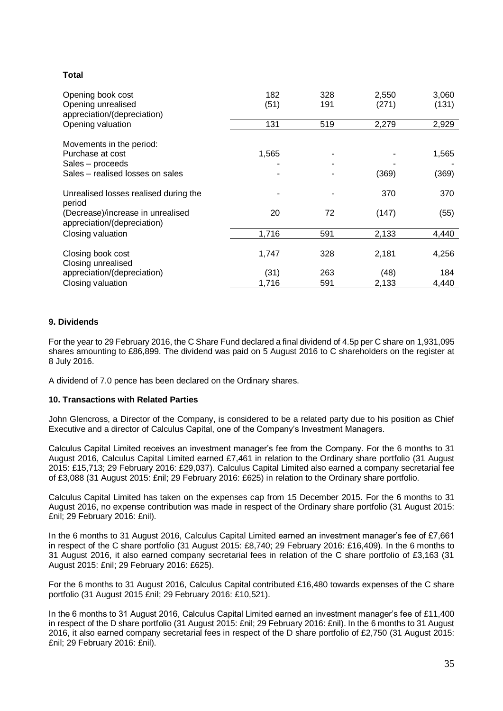## **Total**

| Opening book cost<br>Opening unrealised<br>appreciation/(depreciation) | 182<br>(51) | 328<br>191 | 2,550<br>(271) | 3,060<br>(131) |
|------------------------------------------------------------------------|-------------|------------|----------------|----------------|
| Opening valuation                                                      | 131         | 519        | 2,279          | 2,929          |
| Movements in the period:                                               |             |            |                |                |
| Purchase at cost                                                       | 1,565       |            |                | 1,565          |
| Sales – proceeds                                                       |             |            |                |                |
| Sales – realised losses on sales                                       |             |            | (369)          | (369)          |
| Unrealised losses realised during the<br>period                        |             |            | 370            | 370            |
| (Decrease)/increase in unrealised<br>appreciation/(depreciation)       | 20          | 72         | (147)          | (55)           |
| Closing valuation                                                      | 1,716       | 591        | 2,133          | 4,440          |
| Closing book cost<br>Closing unrealised                                | 1,747       | 328        | 2,181          | 4,256          |
| appreciation/(depreciation)                                            | (31)        | 263        | (48)           | 184            |
| Closing valuation                                                      | 1,716       | 591        | 2,133          | 4,440          |

## **9. Dividends**

For the year to 29 February 2016, the C Share Fund declared a final dividend of 4.5p per C share on 1,931,095 shares amounting to £86,899. The dividend was paid on 5 August 2016 to C shareholders on the register at 8 July 2016.

A dividend of 7.0 pence has been declared on the Ordinary shares.

## **10. Transactions with Related Parties**

John Glencross, a Director of the Company, is considered to be a related party due to his position as Chief Executive and a director of Calculus Capital, one of the Company's Investment Managers.

Calculus Capital Limited receives an investment manager's fee from the Company. For the 6 months to 31 August 2016, Calculus Capital Limited earned £7,461 in relation to the Ordinary share portfolio (31 August 2015: £15,713; 29 February 2016: £29,037). Calculus Capital Limited also earned a company secretarial fee of £3,088 (31 August 2015: £nil; 29 February 2016: £625) in relation to the Ordinary share portfolio.

Calculus Capital Limited has taken on the expenses cap from 15 December 2015. For the 6 months to 31 August 2016, no expense contribution was made in respect of the Ordinary share portfolio (31 August 2015: £nil; 29 February 2016: £nil).

In the 6 months to 31 August 2016, Calculus Capital Limited earned an investment manager's fee of £7,661 in respect of the C share portfolio (31 August 2015: £8,740; 29 February 2016: £16,409). In the 6 months to 31 August 2016, it also earned company secretarial fees in relation of the C share portfolio of £3,163 (31 August 2015: £nil; 29 February 2016: £625).

For the 6 months to 31 August 2016, Calculus Capital contributed £16,480 towards expenses of the C share portfolio (31 August 2015 £nil; 29 February 2016: £10,521).

In the 6 months to 31 August 2016, Calculus Capital Limited earned an investment manager's fee of £11,400 in respect of the D share portfolio (31 August 2015: £nil; 29 February 2016: £nil). In the 6 months to 31 August 2016, it also earned company secretarial fees in respect of the D share portfolio of £2,750 (31 August 2015: £nil; 29 February 2016: £nil).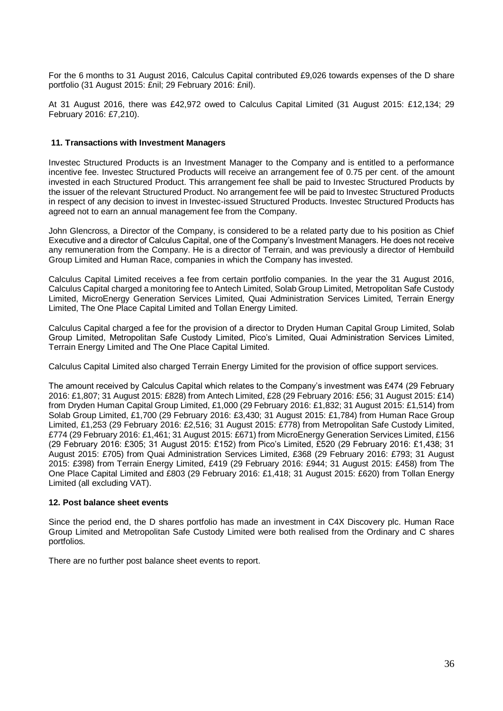For the 6 months to 31 August 2016, Calculus Capital contributed £9,026 towards expenses of the D share portfolio (31 August 2015: £nil; 29 February 2016: £nil).

At 31 August 2016, there was £42,972 owed to Calculus Capital Limited (31 August 2015: £12,134; 29 February 2016: £7,210).

## **11. Transactions with Investment Managers**

Investec Structured Products is an Investment Manager to the Company and is entitled to a performance incentive fee. Investec Structured Products will receive an arrangement fee of 0.75 per cent. of the amount invested in each Structured Product. This arrangement fee shall be paid to Investec Structured Products by the issuer of the relevant Structured Product. No arrangement fee will be paid to Investec Structured Products in respect of any decision to invest in Investec-issued Structured Products. Investec Structured Products has agreed not to earn an annual management fee from the Company.

John Glencross, a Director of the Company, is considered to be a related party due to his position as Chief Executive and a director of Calculus Capital, one of the Company's Investment Managers. He does not receive any remuneration from the Company. He is a director of Terrain, and was previously a director of Hembuild Group Limited and Human Race, companies in which the Company has invested.

Calculus Capital Limited receives a fee from certain portfolio companies. In the year the 31 August 2016, Calculus Capital charged a monitoring fee to Antech Limited, Solab Group Limited, Metropolitan Safe Custody Limited, MicroEnergy Generation Services Limited, Quai Administration Services Limited, Terrain Energy Limited, The One Place Capital Limited and Tollan Energy Limited.

Calculus Capital charged a fee for the provision of a director to Dryden Human Capital Group Limited, Solab Group Limited, Metropolitan Safe Custody Limited, Pico's Limited, Quai Administration Services Limited, Terrain Energy Limited and The One Place Capital Limited.

Calculus Capital Limited also charged Terrain Energy Limited for the provision of office support services.

The amount received by Calculus Capital which relates to the Company's investment was £474 (29 February 2016: £1,807; 31 August 2015: £828) from Antech Limited, £28 (29 February 2016: £56; 31 August 2015: £14) from Dryden Human Capital Group Limited, £1,000 (29 February 2016: £1,832; 31 August 2015: £1,514) from Solab Group Limited, £1,700 (29 February 2016: £3,430; 31 August 2015: £1,784) from Human Race Group Limited, £1,253 (29 February 2016: £2,516; 31 August 2015: £778) from Metropolitan Safe Custody Limited, £774 (29 February 2016: £1,461; 31 August 2015: £671) from MicroEnergy Generation Services Limited, £156 (29 February 2016: £305; 31 August 2015: £152) from Pico's Limited, £520 (29 February 2016: £1,438; 31 August 2015: £705) from Quai Administration Services Limited, £368 (29 February 2016: £793; 31 August 2015: £398) from Terrain Energy Limited, £419 (29 February 2016: £944; 31 August 2015: £458) from The One Place Capital Limited and £803 (29 February 2016: £1,418; 31 August 2015: £620) from Tollan Energy Limited (all excluding VAT).

## **12. Post balance sheet events**

Since the period end, the D shares portfolio has made an investment in C4X Discovery plc. Human Race Group Limited and Metropolitan Safe Custody Limited were both realised from the Ordinary and C shares portfolios.

There are no further post balance sheet events to report.